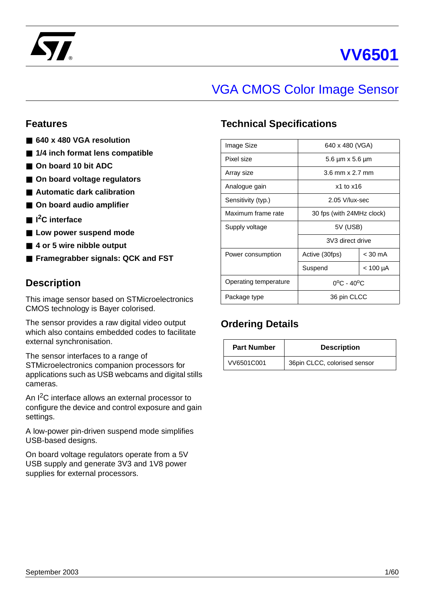



# VGA CMOS Color Image Sensor

# **Features**

- **640 x 480 VGA resolution**
- 1/4 inch format lens compatible
- On board 10 bit ADC
- On board voltage regulators
- **Automatic dark calibration**
- On board audio amplifier
- I<sup>2</sup>C interface
- Low power suspend mode
- 4 or 5 wire nibble output
- **Framegrabber signals: QCK and FST**

# **Description**

This image sensor based on STMicroelectronics CMOS technology is Bayer colorised.

The sensor provides a raw digital video output which also contains embedded codes to facilitate external synchronisation.

The sensor interfaces to a range of STMicroelectronics companion processors for applications such as USB webcams and digital stills cameras.

An I<sup>2</sup>C interface allows an external processor to configure the device and control exposure and gain settings.

A low-power pin-driven suspend mode simplifies USB-based designs.

On board voltage regulators operate from a 5V USB supply and generate 3V3 and 1V8 power supplies for external processors.

# **Technical Specifications**

| Image Size            | 640 x 480 (VGA)                 |  |  |  |
|-----------------------|---------------------------------|--|--|--|
| Pixel size            | 5.6 µm x 5.6 µm                 |  |  |  |
| Array size            | $3.6$ mm $\times$ 2.7 mm        |  |  |  |
| Analogue gain         | $x1$ to $x16$                   |  |  |  |
| Sensitivity (typ.)    | 2.05 V/lux-sec                  |  |  |  |
| Maximum frame rate    | 30 fps (with 24MHz clock)       |  |  |  |
| Supply voltage        | 5V (USB)                        |  |  |  |
|                       | 3V3 direct drive                |  |  |  |
| Power consumption     | $<$ 30 mA<br>Active (30fps)     |  |  |  |
|                       | Suspend<br>< 100 µA             |  |  |  |
| Operating temperature | $0^{\circ}$ C - 40 $^{\circ}$ C |  |  |  |
| Package type          | 36 pin CLCC                     |  |  |  |

# **Ordering Details**

| <b>Part Number</b> | <b>Description</b>           |
|--------------------|------------------------------|
| VV6501C001         | 36pin CLCC, colorised sensor |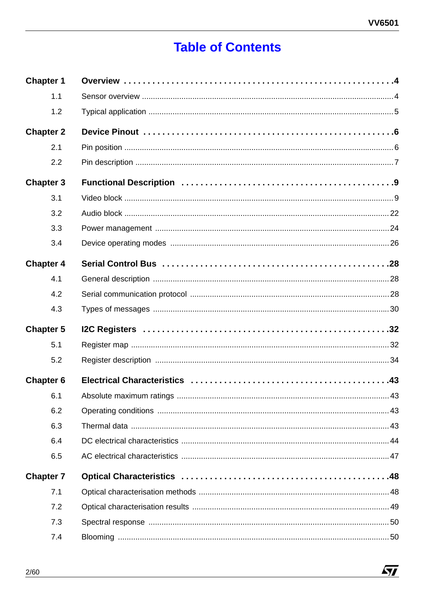# **Table of Contents**

| <b>Chapter 1</b> |  |
|------------------|--|
| 1.1              |  |
| 1.2              |  |
| <b>Chapter 2</b> |  |
| 2.1              |  |
| 2.2              |  |
| <b>Chapter 3</b> |  |
| 3.1              |  |
| 3.2              |  |
| 3.3              |  |
| 3.4              |  |
| <b>Chapter 4</b> |  |
| 4.1              |  |
| 4.2              |  |
| 4.3              |  |
| <b>Chapter 5</b> |  |
| 5.1              |  |
| 5.2              |  |
| <b>Chapter 6</b> |  |
| 6.1              |  |
| 6.2              |  |
| 6.3              |  |
| 6.4              |  |
| 6.5              |  |
| <b>Chapter 7</b> |  |
| 7.1              |  |
| 7.2              |  |
| 7.3              |  |
| 7.4              |  |

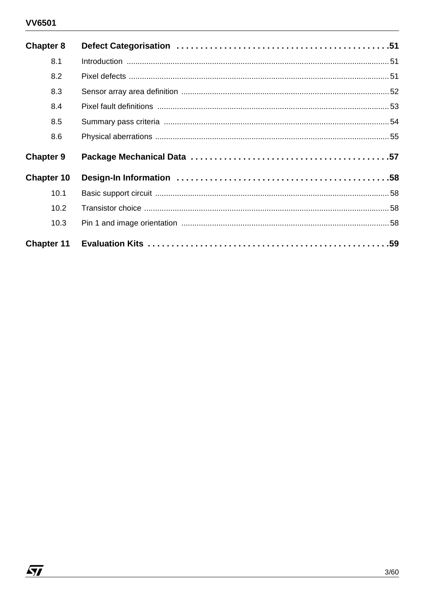# **VV6501**

 $\sqrt{27}$ 

| <b>Chapter 8</b>  |  |
|-------------------|--|
| 8.1               |  |
| 8.2               |  |
| 8.3               |  |
| 8.4               |  |
| 8.5               |  |
| 8.6               |  |
|                   |  |
| <b>Chapter 9</b>  |  |
| <b>Chapter 10</b> |  |
| 10.1              |  |
| 10.2              |  |
| 10.3              |  |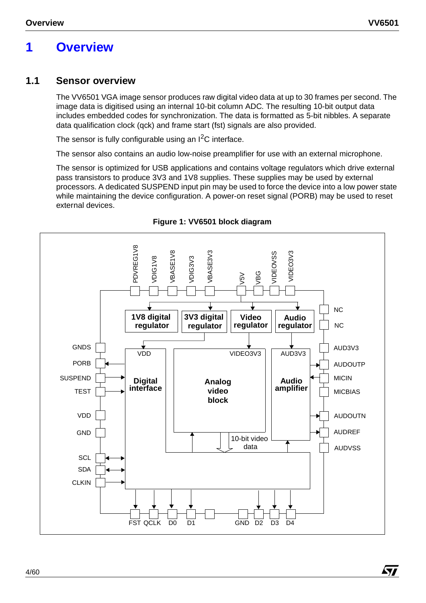# **1 Overview**

# **1.1 Sensor overview**

The VV6501 VGA image sensor produces raw digital video data at up to 30 frames per second. The image data is digitised using an internal 10-bit column ADC. The resulting 10-bit output data includes embedded codes for synchronization. The data is formatted as 5-bit nibbles. A separate data qualification clock (qck) and frame start (fst) signals are also provided.

The sensor is fully configurable using an  $1^2C$  interface.

The sensor also contains an audio low-noise preamplifier for use with an external microphone.

The sensor is optimized for USB applications and contains voltage regulators which drive external pass transistors to produce 3V3 and 1V8 supplies. These supplies may be used by external processors. A dedicated SUSPEND input pin may be used to force the device into a low power state while maintaining the device configuration. A power-on reset signal (PORB) may be used to reset external devices.



**Figure 1: VV6501 block diagram**

Á7/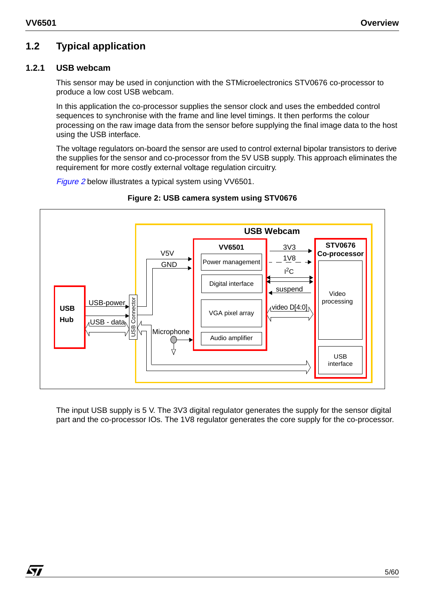KT

# **1.2 Typical application**

# **1.2.1 USB webcam**

This sensor may be used in conjunction with the STMicroelectronics STV0676 co-processor to produce a low cost USB webcam.

In this application the co-processor supplies the sensor clock and uses the embedded control sequences to synchronise with the frame and line level timings. It then performs the colour processing on the raw image data from the sensor before supplying the final image data to the host using the USB interface.

The voltage regulators on-board the sensor are used to control external bipolar transistors to derive the supplies for the sensor and co-processor from the 5V USB supply. This approach eliminates the requirement for more costly external voltage regulation circuitry.

Figure 2 below illustrates a typical system using VV6501.



# **Figure 2: USB camera system using STV0676**

The input USB supply is 5 V. The 3V3 digital regulator generates the supply for the sensor digital part and the co-processor IOs. The 1V8 regulator generates the core supply for the co-processor.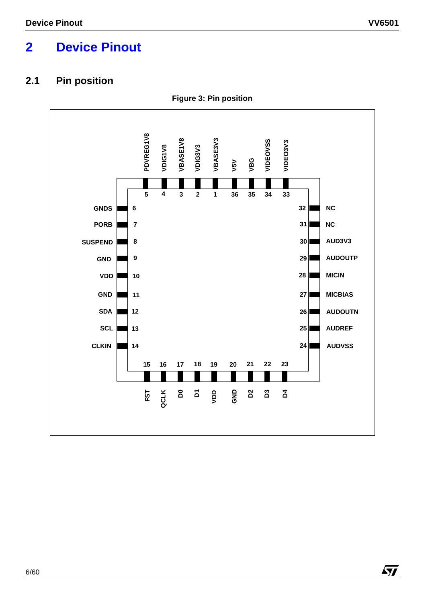# **2 Device Pinout**

# **2.1 Pin position**



**Figure 3: Pin position**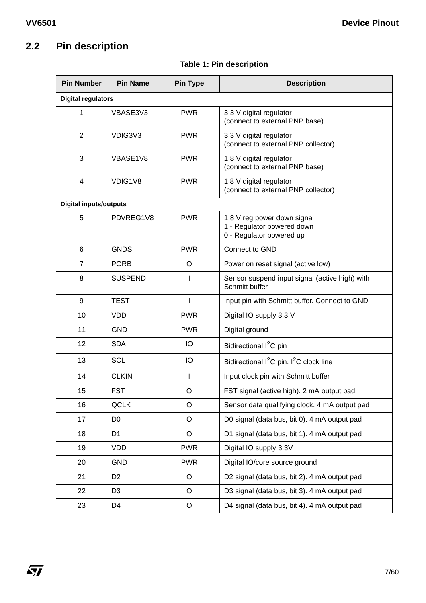# **2.2 Pin description**

| <b>Pin Number</b>             | <b>Pin Name</b> | <b>Pin Type</b> | <b>Description</b>                                                                    |  |
|-------------------------------|-----------------|-----------------|---------------------------------------------------------------------------------------|--|
| <b>Digital regulators</b>     |                 |                 |                                                                                       |  |
| 1                             | VBASE3V3        | <b>PWR</b>      | 3.3 V digital regulator<br>(connect to external PNP base)                             |  |
| $\overline{2}$                | VDIG3V3         | <b>PWR</b>      | 3.3 V digital regulator<br>(connect to external PNP collector)                        |  |
| 3                             | VBASE1V8        | <b>PWR</b>      | 1.8 V digital regulator<br>(connect to external PNP base)                             |  |
| 4                             | VDIG1V8         | <b>PWR</b>      | 1.8 V digital regulator<br>(connect to external PNP collector)                        |  |
| <b>Digital inputs/outputs</b> |                 |                 |                                                                                       |  |
| 5                             | PDVREG1V8       | <b>PWR</b>      | 1.8 V reg power down signal<br>1 - Regulator powered down<br>0 - Regulator powered up |  |
| $6\phantom{1}$                | <b>GNDS</b>     | <b>PWR</b>      | Connect to GND                                                                        |  |
| $\overline{7}$                | <b>PORB</b>     | O               | Power on reset signal (active low)                                                    |  |
| 8                             | <b>SUSPEND</b>  | I               | Sensor suspend input signal (active high) with<br>Schmitt buffer                      |  |
| 9                             | <b>TEST</b>     | ı               | Input pin with Schmitt buffer. Connect to GND                                         |  |
| 10                            | <b>VDD</b>      | <b>PWR</b>      | Digital IO supply 3.3 V                                                               |  |
| 11                            | <b>GND</b>      | <b>PWR</b>      | Digital ground                                                                        |  |
| 12                            | <b>SDA</b>      | IO              | Bidirectional I <sup>2</sup> C pin                                                    |  |
| 13                            | <b>SCL</b>      | IO              | Bidirectional I <sup>2</sup> C pin. I <sup>2</sup> C clock line                       |  |
| 14                            | <b>CLKIN</b>    | T               | Input clock pin with Schmitt buffer                                                   |  |
| 15                            | <b>FST</b>      | O               | FST signal (active high). 2 mA output pad                                             |  |
| 16                            | <b>QCLK</b>     | O               | Sensor data qualifying clock. 4 mA output pad                                         |  |
| 17                            | D <sub>0</sub>  | O               | D0 signal (data bus, bit 0). 4 mA output pad                                          |  |
| 18                            | D <sub>1</sub>  | O               | D1 signal (data bus, bit 1). 4 mA output pad                                          |  |
| 19                            | <b>VDD</b>      | <b>PWR</b>      | Digital IO supply 3.3V                                                                |  |
| 20                            | <b>GND</b>      | <b>PWR</b>      | Digital IO/core source ground                                                         |  |
| 21                            | D <sub>2</sub>  | $\circ$         | D2 signal (data bus, bit 2). 4 mA output pad                                          |  |
| 22                            | D <sub>3</sub>  | $\circ$         | D3 signal (data bus, bit 3). 4 mA output pad                                          |  |
| 23                            | D4              | O               | D4 signal (data bus, bit 4). 4 mA output pad                                          |  |

# **Table 1: Pin description**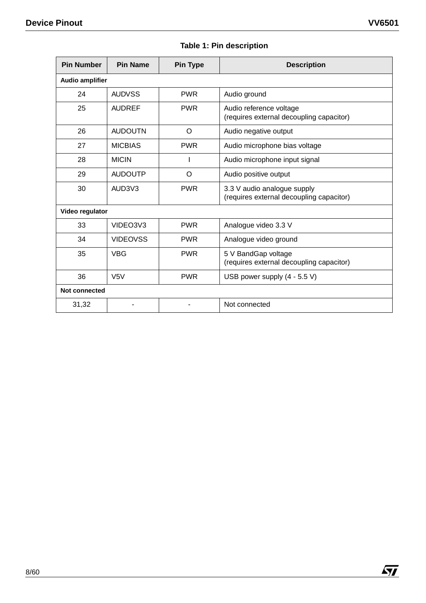| <b>Pin Number</b>      | <b>Pin Name</b>  | <b>Pin Type</b> | <b>Description</b>                                                      |  |
|------------------------|------------------|-----------------|-------------------------------------------------------------------------|--|
| <b>Audio amplifier</b> |                  |                 |                                                                         |  |
| 24                     | <b>AUDVSS</b>    | <b>PWR</b>      | Audio ground                                                            |  |
| 25                     | <b>AUDREF</b>    | <b>PWR</b>      | Audio reference voltage<br>(requires external decoupling capacitor)     |  |
| 26                     | <b>AUDOUTN</b>   | O               | Audio negative output                                                   |  |
| 27                     | <b>MICBIAS</b>   | <b>PWR</b>      | Audio microphone bias voltage                                           |  |
| 28                     | <b>MICIN</b>     |                 | Audio microphone input signal                                           |  |
| 29                     | <b>AUDOUTP</b>   | O               | Audio positive output                                                   |  |
| 30                     | AUD3V3           | <b>PWR</b>      | 3.3 V audio analogue supply<br>(requires external decoupling capacitor) |  |
| Video regulator        |                  |                 |                                                                         |  |
| 33                     | VIDEO3V3         | <b>PWR</b>      | Analogue video 3.3 V                                                    |  |
| 34                     | <b>VIDEOVSS</b>  | <b>PWR</b>      | Analogue video ground                                                   |  |
| 35                     | <b>VBG</b>       | <b>PWR</b>      | 5 V BandGap voltage<br>(requires external decoupling capacitor)         |  |
| 36                     | V <sub>5</sub> V | <b>PWR</b>      | USB power supply (4 - 5.5 V)                                            |  |
| <b>Not connected</b>   |                  |                 |                                                                         |  |
| 31,32                  |                  |                 | Not connected                                                           |  |

# **Table 1: Pin description**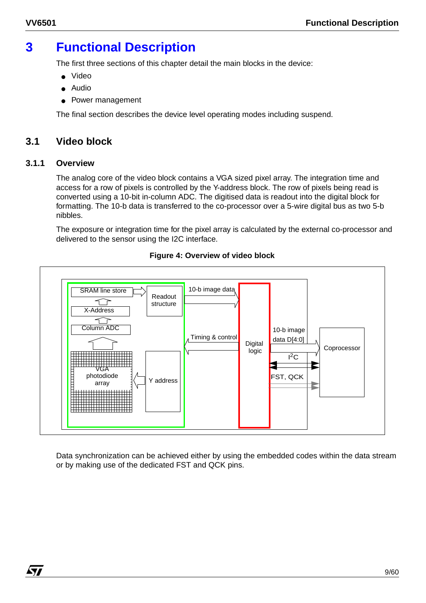# **3 Functional Description**

The first three sections of this chapter detail the main blocks in the device:

- Video
- Audio
- Power management

The final section describes the device level operating modes including suspend.

# **3.1 Video block**

#### **3.1.1 Overview**

The analog core of the video block contains a VGA sized pixel array. The integration time and access for a row of pixels is controlled by the Y-address block. The row of pixels being read is converted using a 10-bit in-column ADC. The digitised data is readout into the digital block for formatting. The 10-b data is transferred to the co-processor over a 5-wire digital bus as two 5-b nibbles.

The exposure or integration time for the pixel array is calculated by the external co-processor and delivered to the sensor using the I2C interface.



# **Figure 4: Overview of video block**

Data synchronization can be achieved either by using the embedded codes within the data stream or by making use of the dedicated FST and QCK pins.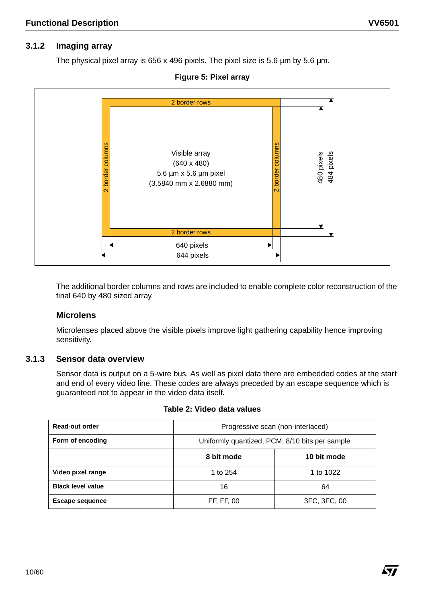# **3.1.2 Imaging array**

The physical pixel array is 656 x 496 pixels. The pixel size is 5.6  $\mu$ m by 5.6  $\mu$ m.

#### **Figure 5: Pixel array**



The additional border columns and rows are included to enable complete color reconstruction of the final 640 by 480 sized array.

#### **Microlens**

Microlenses placed above the visible pixels improve light gathering capability hence improving sensitivity.

#### **3.1.3 Sensor data overview**

Sensor data is output on a 5-wire bus. As well as pixel data there are embedded codes at the start and end of every video line. These codes are always preceded by an escape sequence which is guaranteed not to appear in the video data itself.

| Progressive scan (non-interla       |
|-------------------------------------|
| Uniformly quantized, PCM, 8/10 bits |

#### **Table 2: Video data values**

| Read-out order           | Progressive scan (non-interlaced)              |           |  |  |
|--------------------------|------------------------------------------------|-----------|--|--|
| Form of encoding         | Uniformly quantized, PCM, 8/10 bits per sample |           |  |  |
|                          | 10 bit mode<br>8 bit mode                      |           |  |  |
| Video pixel range        | 1 to 254                                       | 1 to 1022 |  |  |
| <b>Black level value</b> | 16                                             | 64        |  |  |
| <b>Escape sequence</b>   | 3FC, 3FC, 00<br>FF, FF, 00                     |           |  |  |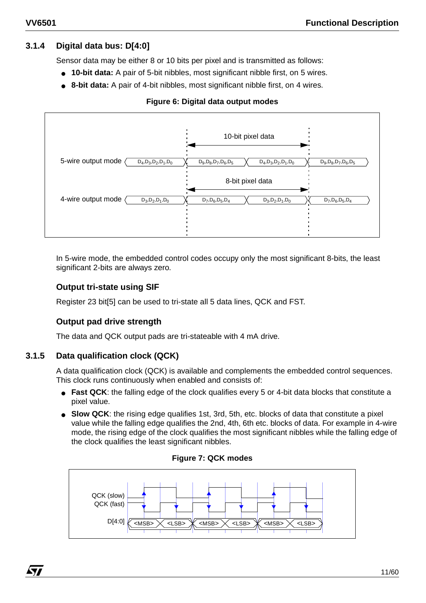# **3.1.4 Digital data bus: D[4:0]**

Sensor data may be either 8 or 10 bits per pixel and is transmitted as follows:

- **10-bit data:** A pair of 5-bit nibbles, most significant nibble first, on 5 wires.
- **8-bit data:** A pair of 4-bit nibbles, most significant nibble first, on 4 wires.

#### **Figure 6: Digital data output modes**



In 5-wire mode, the embedded control codes occupy only the most significant 8-bits, the least significant 2-bits are always zero.

#### **Output tri-state using SIF**

Register 23 bit[5] can be used to tri-state all 5 data lines, QCK and FST.

# **Output pad drive strength**

The data and QCK output pads are tri-stateable with 4 mA drive.

# **3.1.5 Data qualification clock (QCK)**

*ky* 

A data qualification clock (QCK) is available and complements the embedded control sequences. This clock runs continuously when enabled and consists of:

- **Fast QCK**: the falling edge of the clock qualifies every 5 or 4-bit data blocks that constitute a pixel value.
- **Slow QCK**: the rising edge qualifies 1st, 3rd, 5th, etc. blocks of data that constitute a pixel value while the falling edge qualifies the 2nd, 4th, 6th etc. blocks of data. For example in 4-wire mode, the rising edge of the clock qualifies the most significant nibbles while the falling edge of the clock qualifies the least significant nibbles.



#### **Figure 7: QCK modes**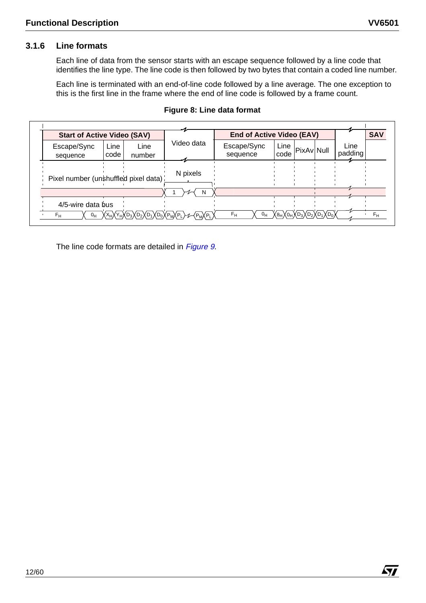$\sqrt{M}$ 

# **3.1.6 Line formats**

Each line of data from the sensor starts with an escape sequence followed by a line code that identifies the line type. The line code is then followed by two bytes that contain a coded line number.

Each line is terminated with an end-of-line code followed by a line average. The one exception to this is the first line in the frame where the end of line code is followed by a frame count.

| <b>Start of Active Video (SAV)</b>                                                                                                                                                   |            |                         | <b>End of Active Video (EAV)</b>                                                                       |                 | <b>SAV</b> |
|--------------------------------------------------------------------------------------------------------------------------------------------------------------------------------------|------------|-------------------------|--------------------------------------------------------------------------------------------------------|-----------------|------------|
| Line<br>Line<br>Escape/Sync<br>code<br>number<br>sequence                                                                                                                            | Video data | Escape/Sync<br>sequence | Line<br>PixAv Null<br>code                                                                             | Line<br>padding |            |
| Pixel number (unshuffled pixel data)                                                                                                                                                 | N pixels   |                         |                                                                                                        |                 |            |
|                                                                                                                                                                                      | -N         |                         |                                                                                                        |                 |            |
| 4/5-wire data bus<br>$\overline{O_{H}}\sqrt{X_{H}\sqrt{Y_{H}}\sqrt{D_{3}}\sqrt{D_{2}}\sqrt{D_{1}}\sqrt{D_{0}}\sqrt{P_{M}}\sqrt{P_{L}}}\sqrt{P_{M}\sqrt{P_{L}}}\sqrt{P_{L}}$<br>$F_H$ |            | $F_{\rm H}$             | $\overline{O_{H}}\sqrt{8_{H}\sqrt{O_{H}}\sqrt{D_{3}}\sqrt{D_{2}}\sqrt{D_{1}}\sqrt{D_{0}}\sqrt{D_{1}}}$ |                 | $F_H$      |

#### **Figure 8: Line data format**

The line code formats are detailed in Figure 9.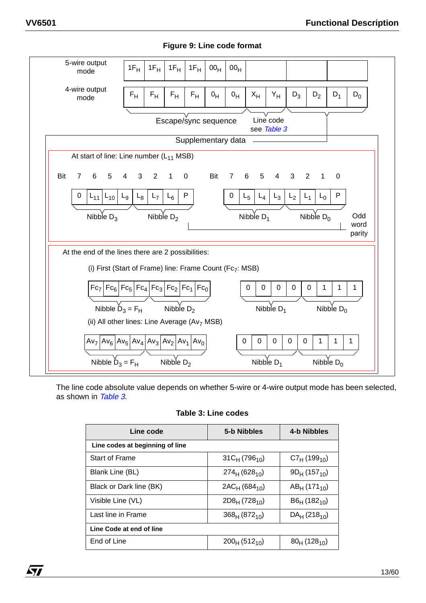

#### **Figure 9: Line code format**

The line code absolute value depends on whether 5-wire or 4-wire output mode has been selected, as shown in Table 3.

#### **Table 3: Line codes**

| Line code                       | 5-b Nibbles        | 4-b Nibbles                   |  |  |
|---------------------------------|--------------------|-------------------------------|--|--|
| Line codes at beginning of line |                    |                               |  |  |
| <b>Start of Frame</b>           | $31C_H (796_{10})$ | $C7_{H}$ (199 <sub>10</sub> ) |  |  |
| Blank Line (BL)                 | $274_H (628_{10})$ | $9D_H(157_{10})$              |  |  |
| Black or Dark line (BK)         | $2AC_H (684_{10})$ | $AB_{H}$ (171 <sub>10</sub> ) |  |  |
| Visible Line (VL)               | $2D8_H (728_{10})$ | $B6H$ (182 <sub>10</sub> )    |  |  |
| Last line in Frame              | $368_H (872_{10})$ | $DA_{H}$ (218 <sub>10</sub> ) |  |  |
| Line Code at end of line        |                    |                               |  |  |
| End of Line                     | $200_H (512_{10})$ | $80_H(128_{10})$              |  |  |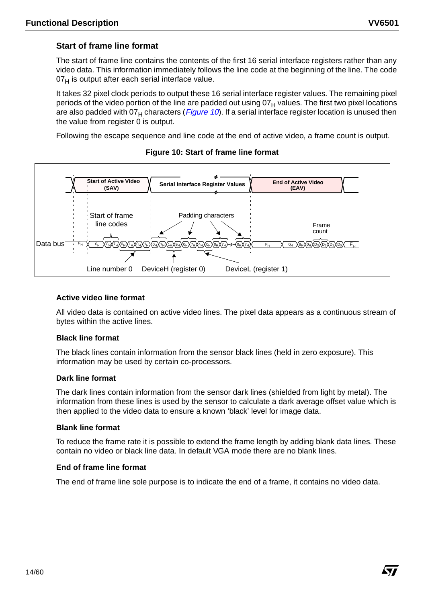Á7/

# **Start of frame line format**

The start of frame line contains the contents of the first 16 serial interface registers rather than any video data. This information immediately follows the line code at the beginning of the line. The code  $07<sub>H</sub>$  is output after each serial interface value.

It takes 32 pixel clock periods to output these 16 serial interface register values. The remaining pixel periods of the video portion of the line are padded out using  $07<sub>H</sub>$  values. The first two pixel locations are also padded with  $07_H$  characters (*Figure 10*). If a serial interface register location is unused then the value from register 0 is output.

Following the escape sequence and line code at the end of active video, a frame count is output.



#### **Figure 10: Start of frame line format**

#### **Active video line format**

All video data is contained on active video lines. The pixel data appears as a continuous stream of bytes within the active lines.

#### **Black line format**

The black lines contain information from the sensor black lines (held in zero exposure). This information may be used by certain co-processors.

#### **Dark line format**

The dark lines contain information from the sensor dark lines (shielded from light by metal). The information from these lines is used by the sensor to calculate a dark average offset value which is then applied to the video data to ensure a known 'black' level for image data.

#### **Blank line format**

To reduce the frame rate it is possible to extend the frame length by adding blank data lines. These contain no video or black line data. In default VGA mode there are no blank lines.

#### **End of frame line format**

The end of frame line sole purpose is to indicate the end of a frame, it contains no video data.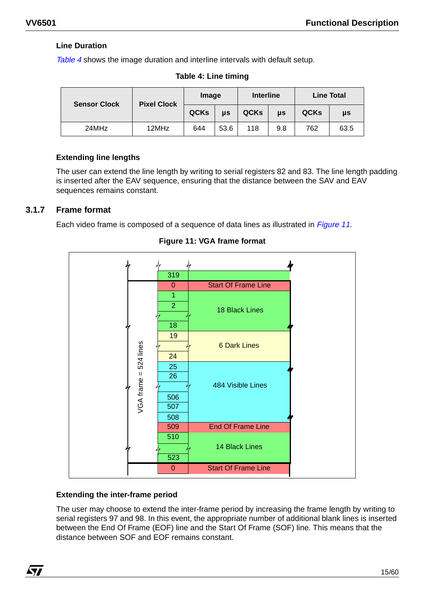# **Line Duration**

Table 4 shows the image duration and interline intervals with default setup.

| <b>Sensor Clock</b> | <b>Pixel Clock</b> | Image       |      | <b>Interline</b> |     | <b>Line Total</b> |         |
|---------------------|--------------------|-------------|------|------------------|-----|-------------------|---------|
|                     |                    | <b>QCKs</b> | μs   | <b>QCKs</b>      | μs  | QCKs              | $\mu s$ |
| 24MHz               | 12MHz              | 644         | 53.6 | 118              | 9.8 | 762               | 63.5    |

**Table 4: Line timing**

# **Extending line lengths**

The user can extend the line length by writing to serial registers 82 and 83. The line length padding is inserted after the EAV sequence, ensuring that the distance between the SAV and EAV sequences remains constant.

# **3.1.7 Frame format**

Each video frame is composed of a sequence of data lines as illustrated in *Figure 11*.



**Figure 11: VGA frame format** 

# **Extending the inter-frame period**

The user may choose to extend the inter-frame period by increasing the frame length by writing to serial registers 97 and 98. In this event, the appropriate number of additional blank lines is inserted between the End Of Frame (EOF) line and the Start Of Frame (SOF) line. This means that the distance between SOF and EOF remains constant.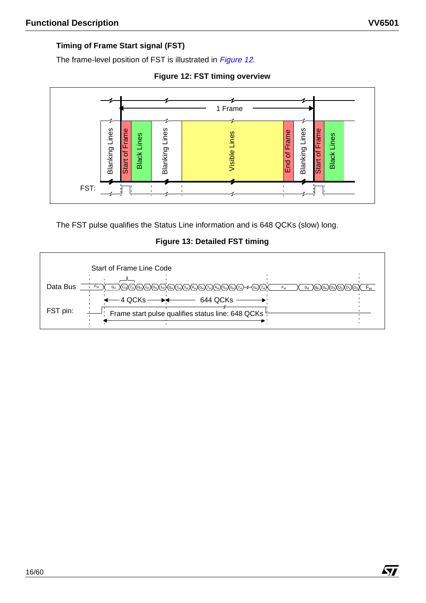$\sqrt{M}$ 

# **Timing of Frame Start signal (FST)**

The frame-level position of FST is illustrated in Figure 12.

**Figure 12: FST timing overview**



The FST pulse qualifies the Status Line information and is 648 QCKs (slow) long.

**Figure 13: Detailed FST timing** 

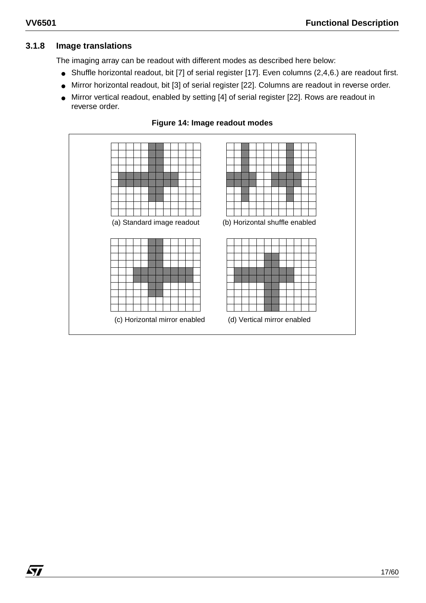*ky* 

# **3.1.8 Image translations**

The imaging array can be readout with different modes as described here below:

- Shuffle horizontal readout, bit [7] of serial register [17]. Even columns (2,4,6.) are readout first.
- Mirror horizontal readout, bit [3] of serial register [22]. Columns are readout in reverse order.
- Mirror vertical readout, enabled by setting [4] of serial register [22]. Rows are readout in reverse order.



# **Figure 14: Image readout modes**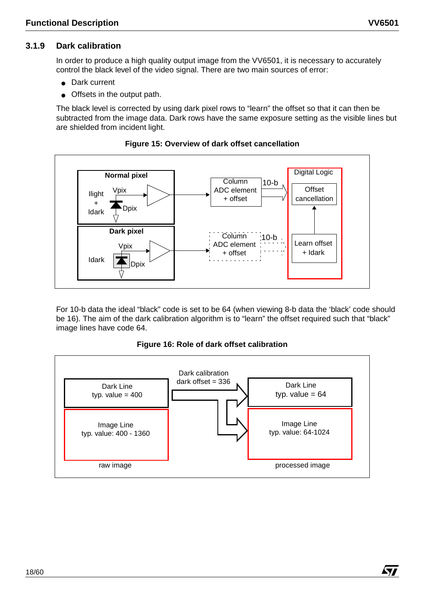$\sqrt{M}$ 

# **3.1.9 Dark calibration**

In order to produce a high quality output image from the VV6501, it is necessary to accurately control the black level of the video signal. There are two main sources of error:

- Dark current
- Offsets in the output path.

The black level is corrected by using dark pixel rows to "learn" the offset so that it can then be subtracted from the image data. Dark rows have the same exposure setting as the visible lines but are shielded from incident light.



#### **Figure 15: Overview of dark offset cancellation**

For 10-b data the ideal "black" code is set to be 64 (when viewing 8-b data the 'black' code should be 16). The aim of the dark calibration algorithm is to "learn" the offset required such that "black" image lines have code 64.

#### **Figure 16: Role of dark offset calibration**

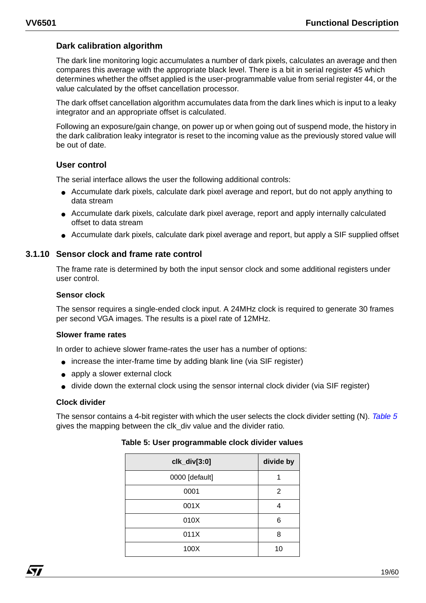# **Dark calibration algorithm**

The dark line monitoring logic accumulates a number of dark pixels, calculates an average and then compares this average with the appropriate black level. There is a bit in serial register 45 which determines whether the offset applied is the user-programmable value from serial register 44, or the value calculated by the offset cancellation processor.

The dark offset cancellation algorithm accumulates data from the dark lines which is input to a leaky integrator and an appropriate offset is calculated.

Following an exposure/gain change, on power up or when going out of suspend mode, the history in the dark calibration leaky integrator is reset to the incoming value as the previously stored value will be out of date.

#### **User control**

The serial interface allows the user the following additional controls:

- Accumulate dark pixels, calculate dark pixel average and report, but do not apply anything to data stream
- Accumulate dark pixels, calculate dark pixel average, report and apply internally calculated offset to data stream
- Accumulate dark pixels, calculate dark pixel average and report, but apply a SIF supplied offset

#### **3.1.10 Sensor clock and frame rate control**

The frame rate is determined by both the input sensor clock and some additional registers under user control.

#### **Sensor clock**

The sensor requires a single-ended clock input. A 24MHz clock is required to generate 30 frames per second VGA images. The results is a pixel rate of 12MHz.

#### **Slower frame rates**

In order to achieve slower frame-rates the user has a number of options:

- increase the inter-frame time by adding blank line (via SIF register)
- apply a slower external clock
- divide down the external clock using the sensor internal clock divider (via SIF register)

#### **Clock divider**

The sensor contains a 4-bit register with which the user selects the clock divider setting (N). Table 5 gives the mapping between the clk\_div value and the divider ratio.

| clk_div[3:0]   | divide by |
|----------------|-----------|
| 0000 [default] |           |
| 0001           | 2         |
| 001X           | 4         |
| 010X           | 6         |
| 011X           | 8         |
| 100X           | 10        |

#### **Table 5: User programmable clock divider values**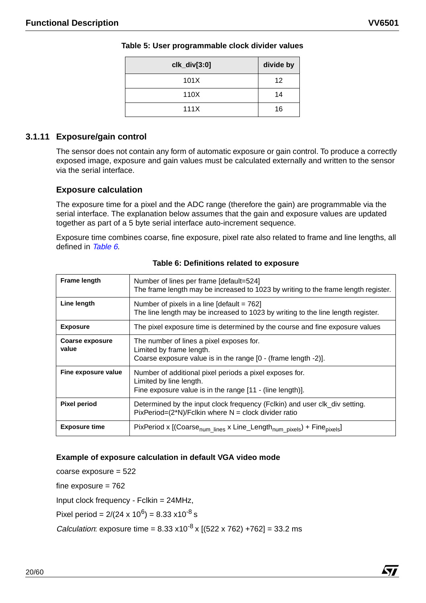| $clk\_div[3:0]$ | divide by |
|-----------------|-----------|
| 101X            | 12        |
| 110X            | 14        |
| 111X            | 16        |

#### **Table 5: User programmable clock divider values**

#### **3.1.11 Exposure/gain control**

The sensor does not contain any form of automatic exposure or gain control. To produce a correctly exposed image, exposure and gain values must be calculated externally and written to the sensor via the serial interface.

#### **Exposure calculation**

The exposure time for a pixel and the ADC range (therefore the gain) are programmable via the serial interface. The explanation below assumes that the gain and exposure values are updated together as part of a 5 byte serial interface auto-increment sequence.

Exposure time combines coarse, fine exposure, pixel rate also related to frame and line lengths, all defined in Table 6.

| Frame length                    | Number of lines per frame [default=524]<br>The frame length may be increased to 1023 by writing to the frame length register.                   |
|---------------------------------|-------------------------------------------------------------------------------------------------------------------------------------------------|
| Line length                     | Number of pixels in a line $\lceil detault = 762 \rceil$<br>The line length may be increased to 1023 by writing to the line length register.    |
| <b>Exposure</b>                 | The pixel exposure time is determined by the course and fine exposure values                                                                    |
| <b>Coarse exposure</b><br>value | The number of lines a pixel exposes for.<br>Limited by frame length.<br>Coarse exposure value is in the range [0 - (frame length -2)].          |
| Fine exposure value             | Number of additional pixel periods a pixel exposes for.<br>Limited by line length.<br>Fine exposure value is in the range [11 - (line length)]. |
| <b>Pixel period</b>             | Determined by the input clock frequency (Fclkin) and user clk_div setting.<br>$PixPeriod=(2*N)/Fckin$ where N = clock divider ratio             |
| <b>Exposure time</b>            | PixPeriod x $[(Coarsenum lines x Line_lengthnum pixels) + Finepixels]$                                                                          |

#### **Table 6: Definitions related to exposure**

#### **Example of exposure calculation in default VGA video mode**

coarse exposure = 522 fine exposure  $= 762$ Input clock frequency - Fclkin = 24MHz, Pixel period =  $2/(24 \times 10^6) = 8.33 \times 10^{-8}$  s *Calculation:* exposure time =  $8.33 \times 10^{-8} \times (522 \times 762) + 762$  = 33.2 ms

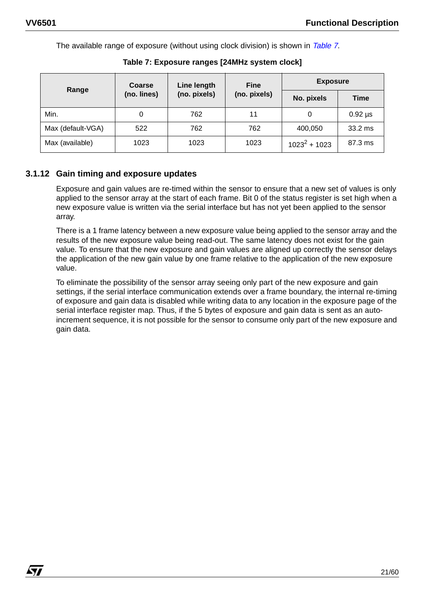57

The available range of exposure (without using clock division) is shown in Table 7.

| Range             | <b>Coarse</b> | Line length  | <b>Fine</b>  | <b>Exposure</b> |              |
|-------------------|---------------|--------------|--------------|-----------------|--------------|
|                   | (no. lines)   | (no. pixels) | (no. pixels) | No. pixels      | Time         |
| Min.              |               | 762          | 11           | 0               | $0.92 \mu s$ |
| Max (default-VGA) | 522           | 762          | 762          | 400,050         | 33.2 ms      |
| Max (available)   | 1023          | 1023         | 1023         | $1023^2 + 1023$ | 87.3 ms      |

**Table 7: Exposure ranges [24MHz system clock]**

# **3.1.12 Gain timing and exposure updates**

Exposure and gain values are re-timed within the sensor to ensure that a new set of values is only applied to the sensor array at the start of each frame. Bit 0 of the status register is set high when a new exposure value is written via the serial interface but has not yet been applied to the sensor array.

There is a 1 frame latency between a new exposure value being applied to the sensor array and the results of the new exposure value being read-out. The same latency does not exist for the gain value. To ensure that the new exposure and gain values are aligned up correctly the sensor delays the application of the new gain value by one frame relative to the application of the new exposure value.

To eliminate the possibility of the sensor array seeing only part of the new exposure and gain settings, if the serial interface communication extends over a frame boundary, the internal re-timing of exposure and gain data is disabled while writing data to any location in the exposure page of the serial interface register map. Thus, if the 5 bytes of exposure and gain data is sent as an autoincrement sequence, it is not possible for the sensor to consume only part of the new exposure and gain data.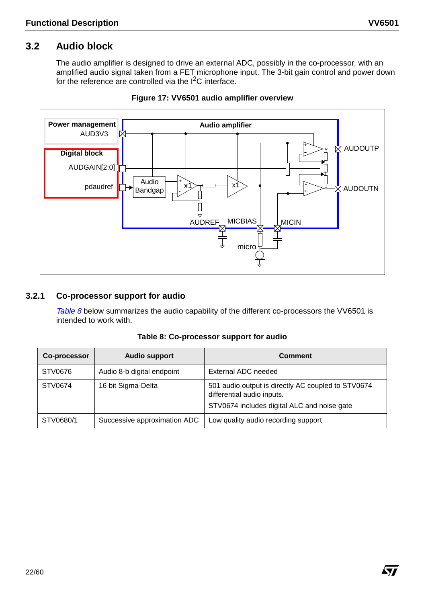# **3.2 Audio block**

The audio amplifier is designed to drive an external ADC, possibly in the co-processor, with an amplified audio signal taken from a FET microphone input. The 3-bit gain control and power down for the reference are controlled via the  $I<sup>2</sup>C$  interface.



#### **Figure 17: VV6501 audio amplifier overview**

#### **3.2.1 Co-processor support for audio**

Table 8 below summarizes the audio capability of the different co-processors the VV6501 is intended to work with.

| Co-processor | <b>Audio support</b>         | <b>Comment</b>                                                                                                                  |
|--------------|------------------------------|---------------------------------------------------------------------------------------------------------------------------------|
| STV0676      | Audio 8-b digital endpoint   | External ADC needed                                                                                                             |
| STV0674      | 16 bit Sigma-Delta           | 501 audio output is directly AC coupled to STV0674<br>differential audio inputs.<br>STV0674 includes digital ALC and noise gate |
| STV0680/1    | Successive approximation ADC | Low quality audio recording support                                                                                             |

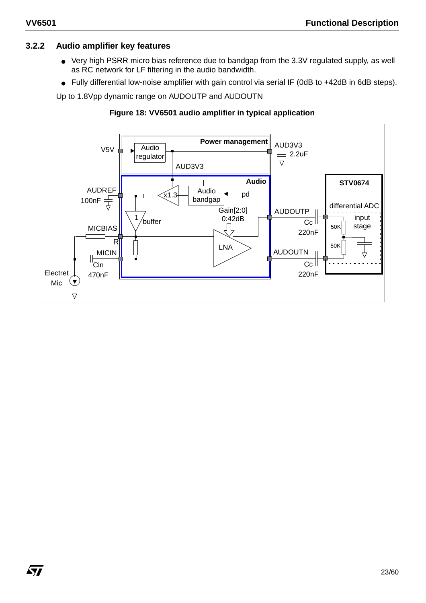$\sqrt{1}$ 

# **3.2.2 Audio amplifier key features**

- Very high PSRR micro bias reference due to bandgap from the 3.3V regulated supply, as well as RC network for LF filtering in the audio bandwidth.
- Fully differential low-noise amplifier with gain control via serial IF (0dB to +42dB in 6dB steps).

Up to 1.8Vpp dynamic range on AUDOUTP and AUDOUTN

#### **Figure 18: VV6501 audio amplifier in typical application**

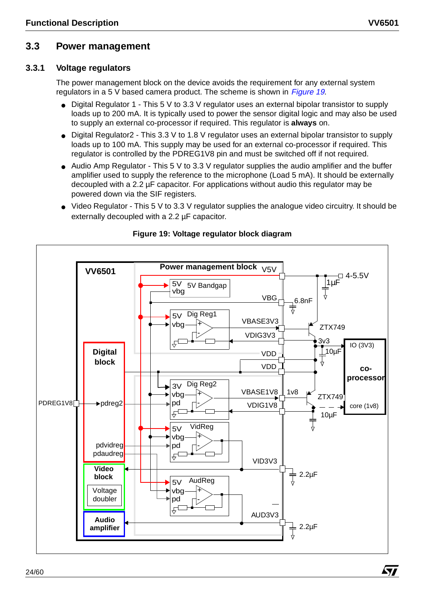# **3.3 Power management**

#### **3.3.1 Voltage regulators**

The power management block on the device avoids the requirement for any external system regulators in a 5 V based camera product. The scheme is shown in Figure 19.

- Digital Regulator 1 This 5 V to 3.3 V regulator uses an external bipolar transistor to supply loads up to 200 mA. It is typically used to power the sensor digital logic and may also be used to supply an external co-processor if required. This regulator is **always** on.
- Digital Regulator2 This 3.3 V to 1.8 V regulator uses an external bipolar transistor to supply loads up to 100 mA. This supply may be used for an external co-processor if required. This regulator is controlled by the PDREG1V8 pin and must be switched off if not required.
- Audio Amp Regulator This 5 V to 3.3 V regulator supplies the audio amplifier and the buffer amplifier used to supply the reference to the microphone (Load 5 mA). It should be externally decoupled with a 2.2 µF capacitor. For applications without audio this regulator may be powered down via the SIF registers.
- Video Regulator This 5 V to 3.3 V regulator supplies the analogue video circuitry. It should be externally decoupled with a 2.2 µF capacitor.



# **Figure 19: Voltage regulator block diagram**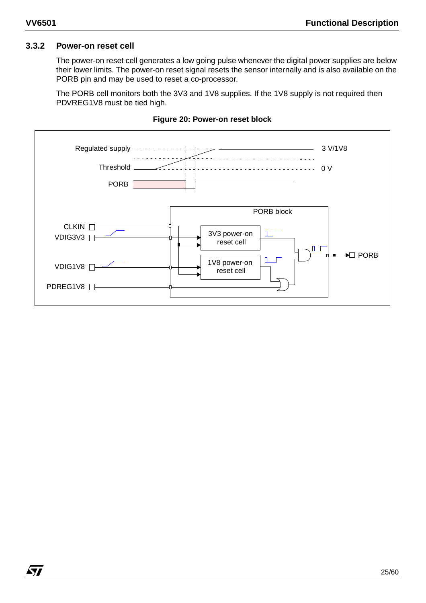#### **3.3.2 Power-on reset cell**

The power-on reset cell generates a low going pulse whenever the digital power supplies are below their lower limits. The power-on reset signal resets the sensor internally and is also available on the PORB pin and may be used to reset a co-processor.

The PORB cell monitors both the 3V3 and 1V8 supplies. If the 1V8 supply is not required then PDVREG1V8 must be tied high.



#### **Figure 20: Power-on reset block**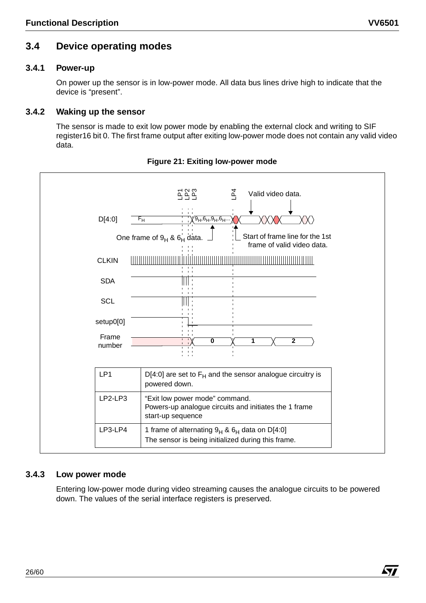# **3.4 Device operating modes**

# **3.4.1 Power-up**

On power up the sensor is in low-power mode. All data bus lines drive high to indicate that the device is "present".

# **3.4.2 Waking up the sensor**

The sensor is made to exit low power mode by enabling the external clock and writing to SIF register16 bit 0. The first frame output after exiting low-power mode does not contain any valid video data.



**Figure 21: Exiting low-power mode**

# **3.4.3 Low power mode**

Entering low-power mode during video streaming causes the analogue circuits to be powered down. The values of the serial interface registers is preserved.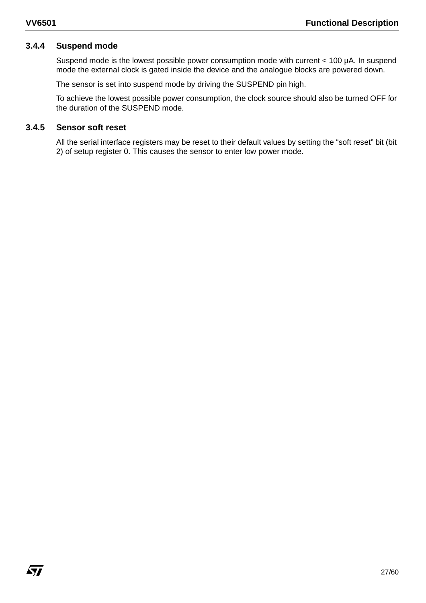# **3.4.4 Suspend mode**

Suspend mode is the lowest possible power consumption mode with current < 100 µA. In suspend mode the external clock is gated inside the device and the analogue blocks are powered down.

The sensor is set into suspend mode by driving the SUSPEND pin high.

To achieve the lowest possible power consumption, the clock source should also be turned OFF for the duration of the SUSPEND mode.

#### **3.4.5 Sensor soft reset**

All the serial interface registers may be reset to their default values by setting the "soft reset" bit (bit 2) of setup register 0. This causes the sensor to enter low power mode.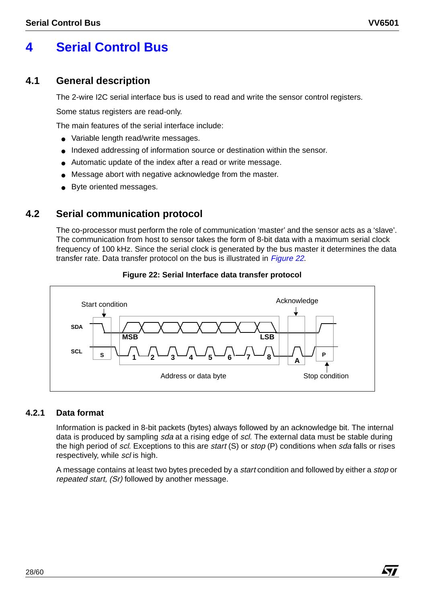Á7/

# **4 Serial Control Bus**

# **4.1 General description**

The 2-wire I2C serial interface bus is used to read and write the sensor control registers.

Some status registers are read-only.

The main features of the serial interface include:

- Variable length read/write messages.
- Indexed addressing of information source or destination within the sensor.
- Automatic update of the index after a read or write message.
- Message abort with negative acknowledge from the master.
- Byte oriented messages.

# **4.2 Serial communication protocol**

The co-processor must perform the role of communication 'master' and the sensor acts as a 'slave'. The communication from host to sensor takes the form of 8-bit data with a maximum serial clock frequency of 100 kHz. Since the serial clock is generated by the bus master it determines the data transfer rate. Data transfer protocol on the bus is illustrated in Figure 22.



#### **Figure 22: Serial Interface data transfer protocol**

# **4.2.1 Data format**

Information is packed in 8-bit packets (bytes) always followed by an acknowledge bit. The internal data is produced by sampling sda at a rising edge of scl. The external data must be stable during the high period of scl. Exceptions to this are start (S) or stop (P) conditions when sda falls or rises respectively, while scl is high.

A message contains at least two bytes preceded by a start condition and followed by either a stop or repeated start, (Sr) followed by another message.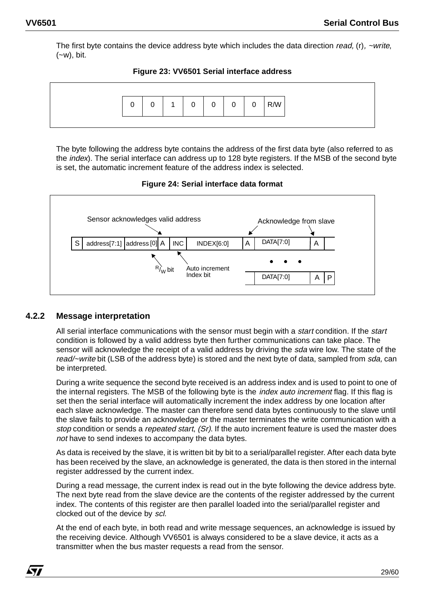The first byte contains the device address byte which includes the data direction read,  $(r)$ ,  $\sim$ write,  $(-w)$ , bit.





The byte following the address byte contains the address of the first data byte (also referred to as the *index*). The serial interface can address up to 128 byte registers. If the MSB of the second byte is set, the automatic increment feature of the address index is selected.

**Figure 24: Serial interface data format**



# **4.2.2 Message interpretation**

All serial interface communications with the sensor must begin with a *start* condition. If the *start* condition is followed by a valid address byte then further communications can take place. The sensor will acknowledge the receipt of a valid address by driving the *sda* wire low. The state of the read/~write bit (LSB of the address byte) is stored and the next byte of data, sampled from sda, can be interpreted.

During a write sequence the second byte received is an address index and is used to point to one of the internal registers. The MSB of the following byte is the *index auto increment* flag. If this flag is set then the serial interface will automatically increment the index address by one location after each slave acknowledge. The master can therefore send data bytes continuously to the slave until the slave fails to provide an acknowledge or the master terminates the write communication with a stop condition or sends a repeated start, (Sr). If the auto increment feature is used the master does not have to send indexes to accompany the data bytes.

As data is received by the slave, it is written bit by bit to a serial/parallel register. After each data byte has been received by the slave, an acknowledge is generated, the data is then stored in the internal register addressed by the current index.

During a read message, the current index is read out in the byte following the device address byte. The next byte read from the slave device are the contents of the register addressed by the current index. The contents of this register are then parallel loaded into the serial/parallel register and clocked out of the device by scl.

At the end of each byte, in both read and write message sequences, an acknowledge is issued by the receiving device. Although VV6501 is always considered to be a slave device, it acts as a transmitter when the bus master requests a read from the sensor.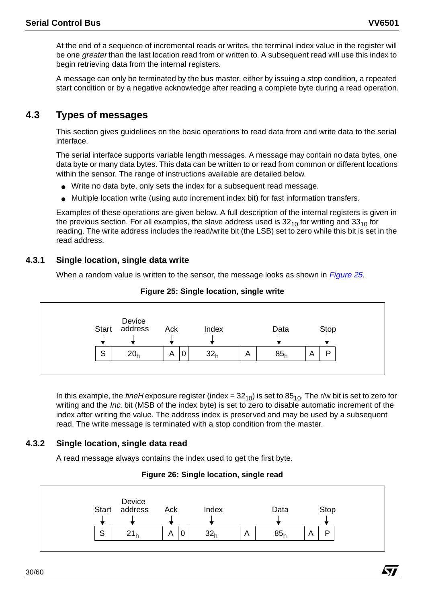**Sy** 

At the end of a sequence of incremental reads or writes, the terminal index value in the register will be one *greater* than the last location read from or written to. A subsequent read will use this index to begin retrieving data from the internal registers.

A message can only be terminated by the bus master, either by issuing a stop condition, a repeated start condition or by a negative acknowledge after reading a complete byte during a read operation.

# **4.3 Types of messages**

This section gives guidelines on the basic operations to read data from and write data to the serial interface.

The serial interface supports variable length messages. A message may contain no data bytes, one data byte or many data bytes. This data can be written to or read from common or different locations within the sensor. The range of instructions available are detailed below.

- Write no data byte, only sets the index for a subsequent read message.
- Multiple location write (using auto increment index bit) for fast information transfers.

Examples of these operations are given below. A full description of the internal registers is given in the previous section. For all examples, the slave address used is  $32<sub>10</sub>$  for writing and  $33<sub>10</sub>$  for reading. The write address includes the read/write bit (the LSB) set to zero while this bit is set in the read address.

#### **4.3.1 Single location, single data write**

When a random value is written to the sensor, the message looks as shown in *Figure 25*.



#### **Figure 25: Single location, single write**

In this example, the fineH exposure register (index =  $32_{10}$ ) is set to  $85_{10}$ . The r/w bit is set to zero for writing and the *Inc.* bit (MSB of the index byte) is set to zero to disable automatic increment of the index after writing the value. The address index is preserved and may be used by a subsequent read. The write message is terminated with a stop condition from the master.

# **4.3.2 Single location, single data read**

A read message always contains the index used to get the first byte.

#### **Figure 26: Single location, single read**

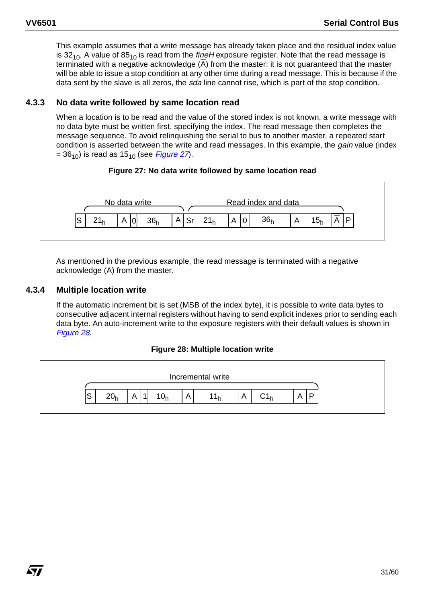This example assumes that a write message has already taken place and the residual index value is 32<sub>10</sub>. A value of 85<sub>10</sub> is read from the *fineH* exposure register. Note that the read message is terminated with a negative acknowledge (A) from the master: it is not guaranteed that the master will be able to issue a stop condition at any other time during a read message. This is because if the data sent by the slave is all zeros, the *sda* line cannot rise, which is part of the stop condition.

#### **4.3.3 No data write followed by same location read**

When a location is to be read and the value of the stored index is not known, a write message with no data byte must be written first, specifying the index. The read message then completes the message sequence. To avoid relinquishing the serial to bus to another master, a repeated start condition is asserted between the write and read messages. In this example, the *gain* value (index  $= 36_{10}$ ) is read as 15<sub>10</sub> (see *Figure 27*).

#### **Figure 27: No data write followed by same location read**



As mentioned in the previous example, the read message is terminated with a negative acknowledge  $(\overline{A})$  from the master.

#### **4.3.4 Multiple location write**

*ky* 

If the automatic increment bit is set (MSB of the index byte), it is possible to write data bytes to consecutive adjacent internal registers without having to send explicit indexes prior to sending each data byte. An auto-increment write to the exposure registers with their default values is shown in Figure 28.

#### **Figure 28: Multiple location write**

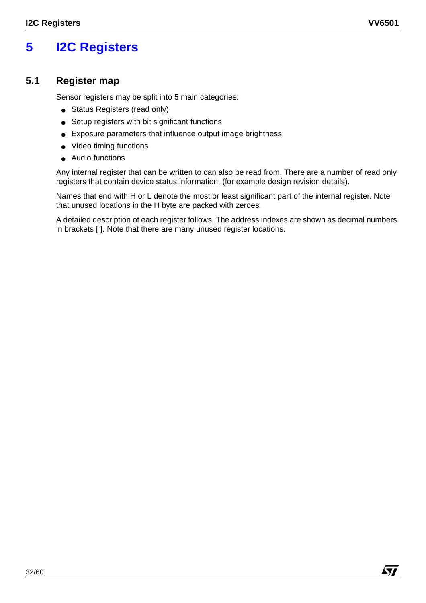# **5 I2C Registers**

# **5.1 Register map**

Sensor registers may be split into 5 main categories:

- Status Registers (read only)
- Setup registers with bit significant functions
- Exposure parameters that influence output image brightness
- Video timing functions
- Audio functions

Any internal register that can be written to can also be read from. There are a number of read only registers that contain device status information, (for example design revision details).

Names that end with H or L denote the most or least significant part of the internal register. Note that unused locations in the H byte are packed with zeroes.

A detailed description of each register follows. The address indexes are shown as decimal numbers in brackets [ ]. Note that there are many unused register locations.

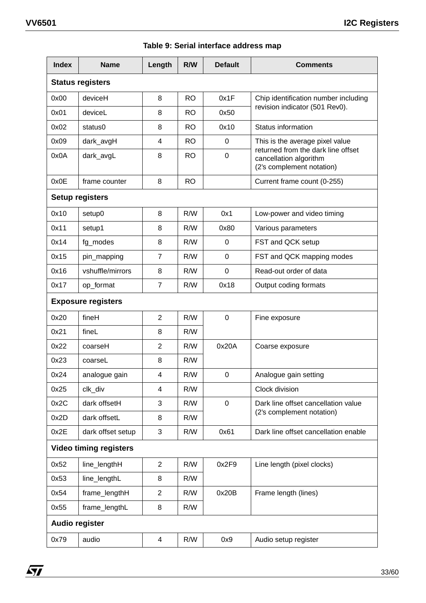|  |  | Table 9: Serial interface address map |  |  |
|--|--|---------------------------------------|--|--|
|--|--|---------------------------------------|--|--|

| <b>Index</b>                  | <b>Name</b>            | Length         | R/W       | <b>Default</b> | <b>Comments</b>                                                                           |  |
|-------------------------------|------------------------|----------------|-----------|----------------|-------------------------------------------------------------------------------------------|--|
| <b>Status registers</b>       |                        |                |           |                |                                                                                           |  |
| 0x00                          | deviceH                | 8              | <b>RO</b> | 0x1F           | Chip identification number including                                                      |  |
| 0x01                          | deviceL                | 8              | <b>RO</b> | 0x50           | revision indicator (501 Rev0).                                                            |  |
| 0x02                          | status0                | 8              | <b>RO</b> | 0x10           | Status information                                                                        |  |
| 0x09                          | dark_avgH              | $\overline{4}$ | <b>RO</b> | 0              | This is the average pixel value                                                           |  |
| 0x0A                          | dark_avgL              | 8              | <b>RO</b> | $\mathbf 0$    | returned from the dark line offset<br>cancellation algorithm<br>(2's complement notation) |  |
| 0x0E                          | frame counter          | 8              | <b>RO</b> |                | Current frame count (0-255)                                                               |  |
|                               | <b>Setup registers</b> |                |           |                |                                                                                           |  |
| 0x10                          | setup0                 | 8              | R/W       | 0x1            | Low-power and video timing                                                                |  |
| 0x11                          | setup1                 | 8              | R/W       | 0x80           | Various parameters                                                                        |  |
| 0x14                          | fg_modes               | 8              | R/W       | 0              | FST and QCK setup                                                                         |  |
| 0x15                          | pin_mapping            | 7              | R/W       | 0              | FST and QCK mapping modes                                                                 |  |
| 0x16                          | vshuffle/mirrors       | 8              | R/W       | 0              | Read-out order of data                                                                    |  |
| 0x17                          | op_format              | $\overline{7}$ | R/W       | 0x18           | Output coding formats                                                                     |  |
| <b>Exposure registers</b>     |                        |                |           |                |                                                                                           |  |
| 0x20                          | fineH                  | $\overline{2}$ | R/W       | $\mathbf 0$    | Fine exposure                                                                             |  |
| 0x21                          | fineL                  | 8              | R/W       |                |                                                                                           |  |
| 0x22                          | coarseH                | $\overline{2}$ | R/W       | 0x20A          | Coarse exposure                                                                           |  |
| 0x23                          | coarseL                | 8              | R/W       |                |                                                                                           |  |
| 0x24                          | analogue gain          | 4              | R/W       | 0              | Analogue gain setting                                                                     |  |
| 0x25                          | clk_div                | 4              | R/W       |                | Clock division                                                                            |  |
| 0x2C                          | dark offsetH           | 3              | R/W       | $\mathbf 0$    | Dark line offset cancellation value                                                       |  |
| 0x2D                          | dark offsetL           | 8              | R/W       |                | (2's complement notation)                                                                 |  |
| 0x2E                          | dark offset setup      | 3              | R/W       | 0x61           | Dark line offset cancellation enable                                                      |  |
| <b>Video timing registers</b> |                        |                |           |                |                                                                                           |  |
| 0x52                          | line lengthH           | $\overline{2}$ | R/W       | 0x2F9          | Line length (pixel clocks)                                                                |  |
| 0x53                          | line_lengthL           | 8              | R/W       |                |                                                                                           |  |
| 0x54                          | frame_lengthH          | $\overline{2}$ | R/W       | 0x20B          | Frame length (lines)                                                                      |  |
| 0x55                          | frame_lengthL          | 8              | R/W       |                |                                                                                           |  |
| <b>Audio register</b>         |                        |                |           |                |                                                                                           |  |
| 0x79                          | audio                  | $\overline{4}$ | R/W       | 0x9            | Audio setup register                                                                      |  |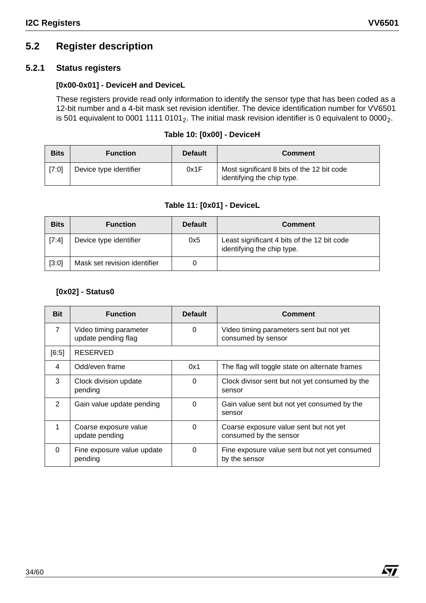# **5.2 Register description**

# **5.2.1 Status registers**

#### **[0x00-0x01] - DeviceH and DeviceL**

These registers provide read only information to identify the sensor type that has been coded as a 12-bit number and a 4-bit mask set revision identifier. The device identification number for VV6501 is 501 equivalent to 0001 1111 0101<sub>2</sub>. The initial mask revision identifier is 0 equivalent to 0000<sub>2</sub>.

#### **Table 10: [0x00] - DeviceH**

| <b>Bits</b> | <b>Function</b>        | <b>Default</b> | <b>Comment</b>                                                           |
|-------------|------------------------|----------------|--------------------------------------------------------------------------|
| [7:0]       | Device type identifier | 0x1F           | Most significant 8 bits of the 12 bit code<br>identifying the chip type. |

# **Table 11: [0x01] - DeviceL**

| <b>Bits</b> | <b>Function</b>              | <b>Default</b> | <b>Comment</b>                                                            |
|-------------|------------------------------|----------------|---------------------------------------------------------------------------|
| [7:4]       | Device type identifier       | 0x5            | Least significant 4 bits of the 12 bit code<br>identifying the chip type. |
| [3:0]       | Mask set revision identifier |                |                                                                           |

#### **[0x02] - Status0**

| <b>Bit</b>     | <b>Function</b>                               | <b>Default</b> | <b>Comment</b>                                                   |
|----------------|-----------------------------------------------|----------------|------------------------------------------------------------------|
| $\overline{7}$ | Video timing parameter<br>update pending flag | 0              | Video timing parameters sent but not yet<br>consumed by sensor   |
| [6:5]          | <b>RESERVED</b>                               |                |                                                                  |
| 4              | Odd/even frame                                | 0x1            | The flag will toggle state on alternate frames                   |
| 3              | Clock division update<br>pending              | 0              | Clock divisor sent but not yet consumed by the<br>sensor         |
| 2              | Gain value update pending                     | $\Omega$       | Gain value sent but not yet consumed by the<br>sensor            |
|                | Coarse exposure value<br>update pending       | $\Omega$       | Coarse exposure value sent but not yet<br>consumed by the sensor |
| $\Omega$       | Fine exposure value update<br>pending         | 0              | Fine exposure value sent but not yet consumed<br>by the sensor   |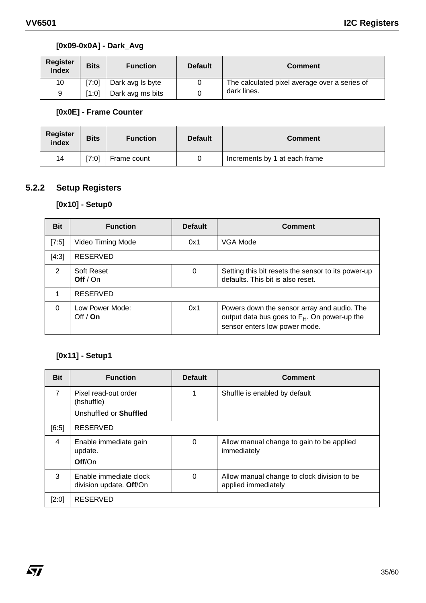# **[0x09-0x0A] - Dark\_Avg**

| <b>Register</b><br><b>Index</b> | <b>Bits</b> | <b>Function</b>  | <b>Default</b> | <b>Comment</b>                                |
|---------------------------------|-------------|------------------|----------------|-----------------------------------------------|
| 10                              | 7:0         | Dark avg Is byte |                | The calculated pixel average over a series of |
| 9                               | [1:0]       | Dark avg ms bits |                | dark lines.                                   |

# **[0x0E] - Frame Counter**

| <b>Register</b><br>index | <b>Bits</b> | <b>Function</b> | <b>Default</b> | <b>Comment</b>                |
|--------------------------|-------------|-----------------|----------------|-------------------------------|
| 14                       | 7:0         | Frame count     |                | Increments by 1 at each frame |

# **5.2.2 Setup Registers**

# **[0x10] - Setup0**

| <b>Bit</b> | <b>Function</b>               | <b>Default</b> | <b>Comment</b>                                                                                                                           |
|------------|-------------------------------|----------------|------------------------------------------------------------------------------------------------------------------------------------------|
| [7:5]      | Video Timing Mode             | 0x1            | VGA Mode                                                                                                                                 |
| [4:3]      | <b>RESERVED</b>               |                |                                                                                                                                          |
| 2          | Soft Reset<br>Off $/$ On      | 0              | Setting this bit resets the sensor to its power-up<br>defaults. This bit is also reset.                                                  |
| 1          | <b>RESERVED</b>               |                |                                                                                                                                          |
| $\Omega$   | Low Power Mode:<br>Off $/$ On | 0x1            | Powers down the sensor array and audio. The<br>output data bus goes to F <sub>H</sub> . On power-up the<br>sensor enters low power mode. |

# **[0x11] - Setup1**

 $\sqrt{5}$ 

| <b>Bit</b>     | <b>Function</b>                                   | <b>Default</b> | Comment                                                            |
|----------------|---------------------------------------------------|----------------|--------------------------------------------------------------------|
| $\overline{7}$ | Pixel read-out order<br>(hshuffle)                |                | Shuffle is enabled by default                                      |
|                | Unshuffled or <b>Shuffled</b>                     |                |                                                                    |
| [6:5]          | <b>RESERVED</b>                                   |                |                                                                    |
| $\overline{4}$ | Enable immediate gain<br>update.<br>Off/On        | $\Omega$       | Allow manual change to gain to be applied<br>immediately           |
|                |                                                   |                |                                                                    |
| 3              | Enable immediate clock<br>division update. Off/On | $\Omega$       | Allow manual change to clock division to be<br>applied immediately |
| [2:0]          | <b>RESERVED</b>                                   |                |                                                                    |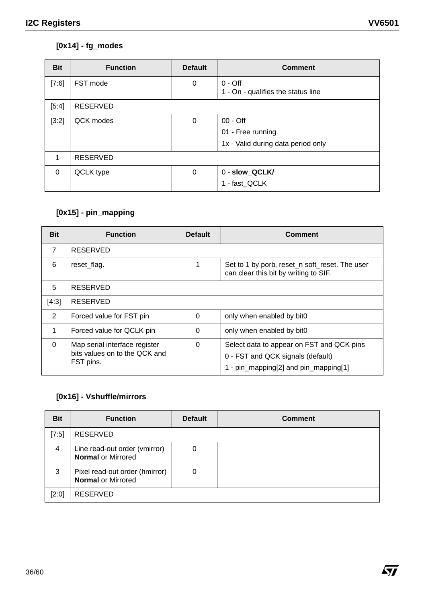# **[0x14] - fg\_modes**

| <b>Bit</b> | <b>Function</b> | <b>Default</b> | <b>Comment</b>                                  |
|------------|-----------------|----------------|-------------------------------------------------|
| [7:6]      | FST mode        | $\mathbf 0$    | $0 -$ Off<br>1 - On - qualifies the status line |
| [5:4]      | <b>RESERVED</b> |                |                                                 |
| [3:2]      | QCK modes       | 0              | 00 - Off                                        |
|            |                 |                | 01 - Free running                               |
|            |                 |                | 1x - Valid during data period only              |
| 1          | <b>RESERVED</b> |                |                                                 |
| $\Omega$   | QCLK type       | $\mathbf 0$    | 0 - slow_QCLK/                                  |
|            |                 |                | 1 - fast_QCLK                                   |

# **[0x15] - pin\_mapping**

| <b>Bit</b>     | <b>Function</b>                                                             | <b>Default</b> | Comment                                                                                                                 |  |  |
|----------------|-----------------------------------------------------------------------------|----------------|-------------------------------------------------------------------------------------------------------------------------|--|--|
| $\overline{7}$ | <b>RESERVED</b>                                                             |                |                                                                                                                         |  |  |
| 6              | reset_flag.                                                                 |                | Set to 1 by porb, reset_n soft_reset. The user<br>can clear this bit by writing to SIF.                                 |  |  |
| 5              | <b>RESERVED</b>                                                             |                |                                                                                                                         |  |  |
| [4:3]          | RESERVED                                                                    |                |                                                                                                                         |  |  |
| 2              | Forced value for FST pin                                                    | $\Omega$       | only when enabled by bit0                                                                                               |  |  |
| 1              | Forced value for QCLK pin                                                   | $\Omega$       | only when enabled by bit0                                                                                               |  |  |
| $\Omega$       | Map serial interface register<br>bits values on to the QCK and<br>FST pins. | 0              | Select data to appear on FST and QCK pins<br>0 - FST and QCK signals (default)<br>1 - pin_mapping[2] and pin_mapping[1] |  |  |

# **[0x16] - Vshuffle/mirrors**

| <b>Bit</b> | <b>Function</b>                                             | <b>Default</b> | <b>Comment</b> |
|------------|-------------------------------------------------------------|----------------|----------------|
| [7:5]      | <b>RESERVED</b>                                             |                |                |
| 4          | Line read-out order (vmirror)<br><b>Normal or Mirrored</b>  | 0              |                |
| 3          | Pixel read-out order (hmirror)<br><b>Normal or Mirrored</b> | 0              |                |
| [2:0]      | <b>RESERVED</b>                                             |                |                |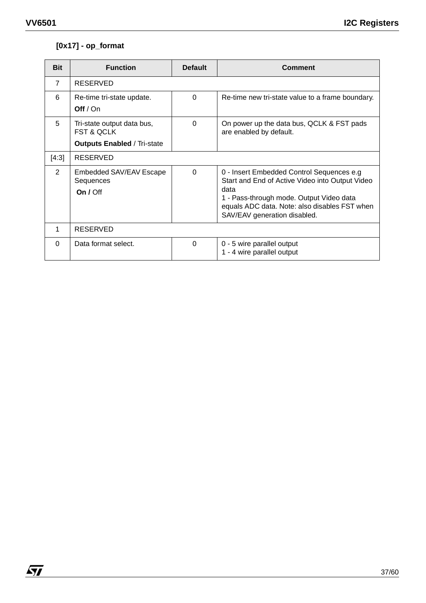$\sqrt{27}$ 

# **[0x17] - op\_format**

| <b>Bit</b> | <b>Function</b>                                                                           | <b>Default</b> | <b>Comment</b>                                                                                                                                                                                                                    |
|------------|-------------------------------------------------------------------------------------------|----------------|-----------------------------------------------------------------------------------------------------------------------------------------------------------------------------------------------------------------------------------|
| 7          | RESERVED                                                                                  |                |                                                                                                                                                                                                                                   |
| 6          | Re-time tri-state update.<br>Off $/$ On                                                   | $\Omega$       | Re-time new tri-state value to a frame boundary.                                                                                                                                                                                  |
| 5          | Tri-state output data bus,<br><b>FST &amp; QCLK</b><br><b>Outputs Enabled / Tri-state</b> | 0              | On power up the data bus, QCLK & FST pads<br>are enabled by default.                                                                                                                                                              |
| [4:3]      | <b>RESERVED</b>                                                                           |                |                                                                                                                                                                                                                                   |
| 2          | Embedded SAV/EAV Escape<br>Sequences<br>On $/$ Off                                        | $\Omega$       | 0 - Insert Embedded Control Sequences e.g<br>Start and End of Active Video into Output Video<br>data<br>1 - Pass-through mode. Output Video data<br>equals ADC data. Note: also disables FST when<br>SAV/EAV generation disabled. |
| 1          | <b>RESERVED</b>                                                                           |                |                                                                                                                                                                                                                                   |
| $\Omega$   | Data format select.                                                                       | $\Omega$       | 0 - 5 wire parallel output<br>1 - 4 wire parallel output                                                                                                                                                                          |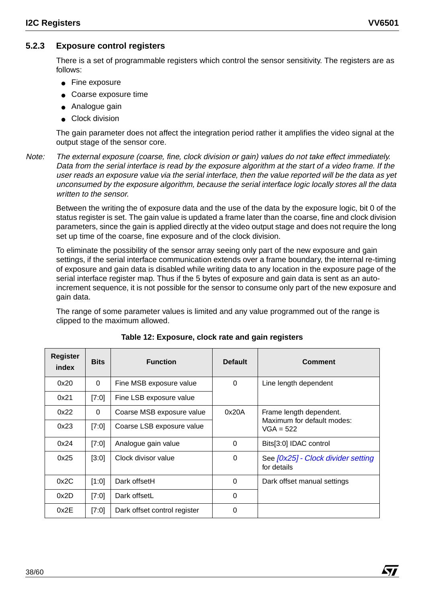Á7/

# **5.2.3 Exposure control registers**

There is a set of programmable registers which control the sensor sensitivity. The registers are as follows:

- Fine exposure
- Coarse exposure time
- Analogue gain
- Clock division

The gain parameter does not affect the integration period rather it amplifies the video signal at the output stage of the sensor core.

Note: The external exposure (coarse, fine, clock division or gain) values do not take effect immediately. Data from the serial interface is read by the exposure algorithm at the start of a video frame. If the user reads an exposure value via the serial interface, then the value reported will be the data as yet unconsumed by the exposure algorithm, because the serial interface logic locally stores all the data written to the sensor.

Between the writing the of exposure data and the use of the data by the exposure logic, bit 0 of the status register is set. The gain value is updated a frame later than the coarse, fine and clock division parameters, since the gain is applied directly at the video output stage and does not require the long set up time of the coarse, fine exposure and of the clock division.

To eliminate the possibility of the sensor array seeing only part of the new exposure and gain settings, if the serial interface communication extends over a frame boundary, the internal re-timing of exposure and gain data is disabled while writing data to any location in the exposure page of the serial interface register map. Thus if the 5 bytes of exposure and gain data is sent as an autoincrement sequence, it is not possible for the sensor to consume only part of the new exposure and gain data.

The range of some parameter values is limited and any value programmed out of the range is clipped to the maximum allowed.

| <b>Register</b><br>index | <b>Bits</b> | <b>Function</b>              | <b>Default</b> | Comment                                           |
|--------------------------|-------------|------------------------------|----------------|---------------------------------------------------|
| 0x20                     | $\Omega$    | Fine MSB exposure value      | $\mathbf 0$    | Line length dependent                             |
| 0x21                     | [7:0]       | Fine LSB exposure value      |                |                                                   |
| 0x22                     | $\Omega$    | Coarse MSB exposure value    | 0x20A          | Frame length dependent.                           |
| 0x23                     | [7:0]       | Coarse LSB exposure value    |                | Maximum for default modes:<br>$VGA = 522$         |
| 0x24                     | [7:0]       | Analogue gain value          | $\Omega$       | Bits[3:0] IDAC control                            |
| 0x25                     | [3:0]       | Clock divisor value          | 0              | See [0x25] - Clock divider setting<br>for details |
| 0x2C                     | [1:0]       | Dark offsetH                 | $\Omega$       | Dark offset manual settings                       |
| 0x2D                     | [7:0]       | Dark offsetL                 | $\Omega$       |                                                   |
| 0x2E                     | [7:0]       | Dark offset control register | $\Omega$       |                                                   |

**Table 12: Exposure, clock rate and gain registers**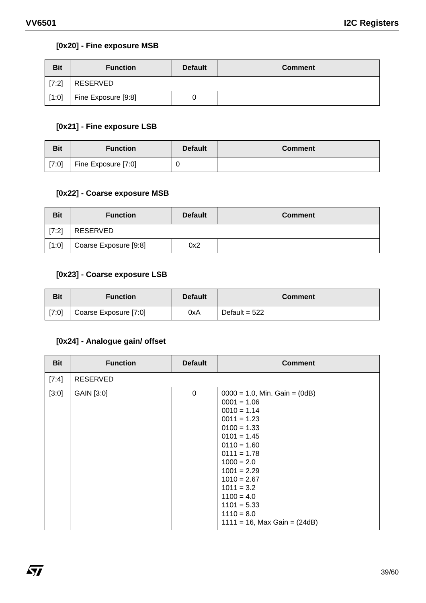$\sqrt{M}$ 

# **[0x20] - Fine exposure MSB**

| <b>Bit</b> | <b>Function</b>     | <b>Default</b> | <b>Comment</b> |
|------------|---------------------|----------------|----------------|
| [7:2]      | RESERVED            |                |                |
| [1:0]      | Fine Exposure [9:8] |                |                |

# **[0x21] - Fine exposure LSB**

| <b>Bit</b> | <b>Function</b>     | <b>Default</b> | <b>Comment</b> |
|------------|---------------------|----------------|----------------|
| [7:0]      | Fine Exposure [7:0] |                |                |

#### **[0x22] - Coarse exposure MSB**

| <b>Bit</b> | <b>Function</b>       | <b>Default</b> | <b>Comment</b> |
|------------|-----------------------|----------------|----------------|
| [7:2]      | RESERVED              |                |                |
| [1:0]      | Coarse Exposure [9:8] | 0x2            |                |

# **[0x23] - Coarse exposure LSB**

| <b>Bit</b> | <b>Function</b>       | <b>Default</b> | <b>Comment</b>  |
|------------|-----------------------|----------------|-----------------|
| [7:0]      | Coarse Exposure [7:0] | 0xA            | Default = $522$ |

# **[0x24] - Analogue gain/ offset**

| <b>Bit</b> | <b>Function</b> | <b>Default</b> | <b>Comment</b>                                                                                                                                                                                                                                                                                                    |
|------------|-----------------|----------------|-------------------------------------------------------------------------------------------------------------------------------------------------------------------------------------------------------------------------------------------------------------------------------------------------------------------|
| [7:4]      | <b>RESERVED</b> |                |                                                                                                                                                                                                                                                                                                                   |
| [3:0]      | GAIN [3:0]      | $\mathbf 0$    | $0000 = 1.0$ , Min. Gain = $(0dB)$<br>$0001 = 1.06$<br>$0010 = 1.14$<br>$0011 = 1.23$<br>$0100 = 1.33$<br>$0101 = 1.45$<br>$0110 = 1.60$<br>$0111 = 1.78$<br>$1000 = 2.0$<br>$1001 = 2.29$<br>$1010 = 2.67$<br>$1011 = 3.2$<br>$1100 = 4.0$<br>$1101 = 5.33$<br>$1110 = 8.0$<br>$1111 = 16$ , Max Gain = $(24dB)$ |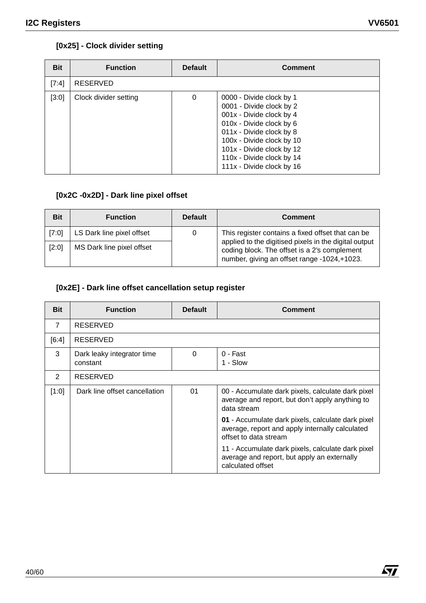# **[0x25] - Clock divider setting**

| <b>Bit</b> | <b>Function</b>       | <b>Default</b> | <b>Comment</b>                                                                                                                                                                                                                                               |
|------------|-----------------------|----------------|--------------------------------------------------------------------------------------------------------------------------------------------------------------------------------------------------------------------------------------------------------------|
| [7:4]      | <b>RESERVED</b>       |                |                                                                                                                                                                                                                                                              |
| [3:0]      | Clock divider setting | 0              | 0000 - Divide clock by 1<br>0001 - Divide clock by 2<br>001x - Divide clock by 4<br>010x - Divide clock by 6<br>011x - Divide clock by 8<br>100x - Divide clock by 10<br>101x - Divide clock by 12<br>110x - Divide clock by 14<br>111x - Divide clock by 16 |

# **[0x2C -0x2D] - Dark line pixel offset**

| <b>Bit</b> | <b>Function</b>           | <b>Default</b> | <b>Comment</b>                                                                                                                                       |
|------------|---------------------------|----------------|------------------------------------------------------------------------------------------------------------------------------------------------------|
| [7:0]      | LS Dark line pixel offset | O              | This register contains a fixed offset that can be                                                                                                    |
| [2:0]      | MS Dark line pixel offset |                | applied to the digitised pixels in the digital output<br>coding block. The offset is a 2's complement<br>number, giving an offset range -1024,+1023. |

# **[0x2E] - Dark line offset cancellation setup register**

| <b>Bit</b>     | <b>Function</b>                        | <b>Default</b>                   | <b>Comment</b>                                                                                                                |
|----------------|----------------------------------------|----------------------------------|-------------------------------------------------------------------------------------------------------------------------------|
| $\overline{7}$ | <b>RESERVED</b>                        |                                  |                                                                                                                               |
| [6:4]          | <b>RESERVED</b>                        |                                  |                                                                                                                               |
| 3              | Dark leaky integrator time<br>constant | $\Omega$<br>0 - Fast<br>1 - Slow |                                                                                                                               |
| 2              | <b>RESERVED</b>                        |                                  |                                                                                                                               |
| [1:0]          | Dark line offset cancellation          | 01                               | 00 - Accumulate dark pixels, calculate dark pixel<br>average and report, but don't apply anything to<br>data stream           |
|                |                                        |                                  | 01 - Accumulate dark pixels, calculate dark pixel<br>average, report and apply internally calculated<br>offset to data stream |
|                |                                        |                                  | 11 - Accumulate dark pixels, calculate dark pixel<br>average and report, but apply an externally<br>calculated offset         |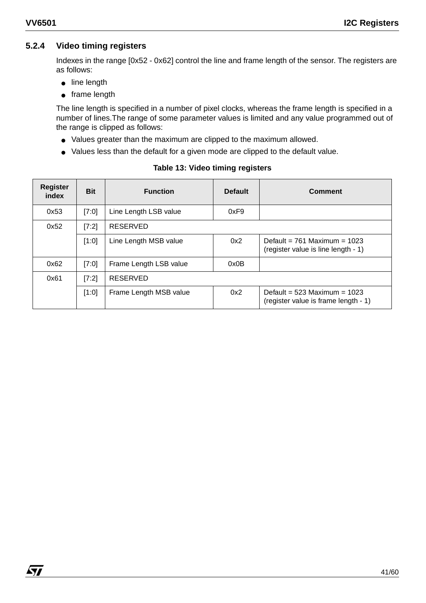$\sqrt{1}$ 

# **5.2.4 Video timing registers**

Indexes in the range [0x52 - 0x62] control the line and frame length of the sensor. The registers are as follows:

- line length
- frame length

The line length is specified in a number of pixel clocks, whereas the frame length is specified in a number of lines.The range of some parameter values is limited and any value programmed out of the range is clipped as follows:

- Values greater than the maximum are clipped to the maximum allowed.
- Values less than the default for a given mode are clipped to the default value.

| <b>Register</b><br>index | <b>Bit</b> | <b>Function</b>        | <b>Default</b> | <b>Comment</b>                                                           |
|--------------------------|------------|------------------------|----------------|--------------------------------------------------------------------------|
| 0x53                     | [7:0]      | Line Length LSB value  | 0xF9           |                                                                          |
| 0x52                     | [7:2]      | <b>RESERVED</b>        |                |                                                                          |
|                          | [1:0]      | Line Length MSB value  | 0x2            | Default = $761$ Maximum = $1023$<br>(register value is line length - 1)  |
| 0x62                     | [7:0]      | Frame Length LSB value | 0x0B           |                                                                          |
| 0x61                     | [7:2]      | <b>RESERVED</b>        |                |                                                                          |
|                          | [1:0]      | Frame Length MSB value | 0x2            | Default = $523$ Maximum = $1023$<br>(register value is frame length - 1) |

#### **Table 13: Video timing registers**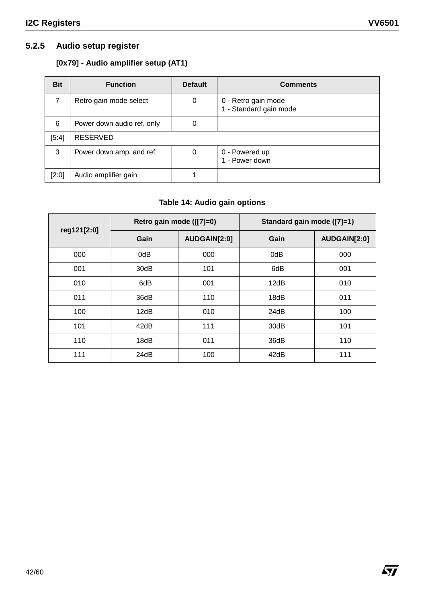$\sqrt{M}$ 

# **5.2.5 Audio setup register**

# **[0x79] - Audio amplifier setup (AT1)**

| <b>Bit</b> | <b>Function</b>            | <b>Default</b> | <b>Comments</b>                               |
|------------|----------------------------|----------------|-----------------------------------------------|
| 7          | Retro gain mode select     | 0              | 0 - Retro gain mode<br>1 - Standard gain mode |
| 6          | Power down audio ref. only | 0              |                                               |
| [5:4]      | <b>RESERVED</b>            |                |                                               |
| 3          | Power down amp. and ref.   | 0              | 0 - Powered up<br>1 - Power down              |
| [2:0]      | Audio amplifier gain       |                |                                               |

# **Table 14: Audio gain options**

| reg121[2:0] | Retro gain mode ([[7]=0) |              | Standard gain mode ([7]=1) |              |  |
|-------------|--------------------------|--------------|----------------------------|--------------|--|
|             | Gain                     | AUDGAIN[2:0] | Gain                       | AUDGAIN[2:0] |  |
| 000         | 0dB                      | 000          | 0dB                        | 000          |  |
| 001         | 30dB                     | 101          | 6dB                        | 001          |  |
| 010         | 6dB                      | 001          | 12dB                       | 010          |  |
| 011         | 36dB                     | 110          | 18dB                       | 011          |  |
| 100         | 12dB                     | 010          | 24dB                       | 100          |  |
| 101         | 42dB                     | 111          | 30dB                       | 101          |  |
| 110         | 18dB                     | 011          | 36dB                       | 110          |  |
| 111         | 24dB                     | 100          | 42dB                       | 111          |  |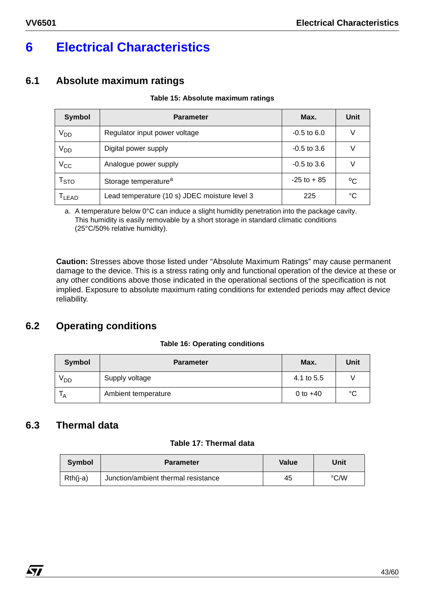# **6 Electrical Characteristics**

# **6.1 Absolute maximum ratings**

#### **Table 15: Absolute maximum ratings**

| <b>Symbol</b>             | <b>Parameter</b>                              | Max.           | Unit |
|---------------------------|-----------------------------------------------|----------------|------|
| V <sub>DD</sub>           | Regulator input power voltage                 | $-0.5$ to 6.0  |      |
| V <sub>DD</sub>           | Digital power supply                          | $-0.5$ to 3.6  |      |
| $\rm V_{CC}$              | Analogue power supply                         | $-0.5$ to 3.6  |      |
| $\mathsf{T}_{\text{STO}}$ | Storage temperature <sup>a</sup>              | $-25$ to $+85$ | °C   |
| T <sub>LEAD</sub>         | Lead temperature (10 s) JDEC moisture level 3 | 225            | °C   |

a. A temperature below 0°C can induce a slight humidity penetration into the package cavity. This humidity is easily removable by a short storage in standard climatic conditions (25°C/50% relative humidity).

**Caution:** Stresses above those listed under "Absolute Maximum Ratings" may cause permanent damage to the device. This is a stress rating only and functional operation of the device at these or any other conditions above those indicated in the operational sections of the specification is not implied. Exposure to absolute maximum rating conditions for extended periods may affect device reliability.

# **6.2 Operating conditions**

#### **Table 16: Operating conditions**

| <b>Symbol</b>   | <b>Parameter</b>    | Max.       | Unit   |
|-----------------|---------------------|------------|--------|
| V <sub>DD</sub> | Supply voltage      | 4.1 to 5.5 |        |
| Ά               | Ambient temperature | 0 to $+40$ | $\sim$ |

# **6.3 Thermal data**

#### **Table 17: Thermal data**

| <b>Symbol</b> | <b>Parameter</b>                    | Value | Unit |
|---------------|-------------------------------------|-------|------|
| $Rth(i-a)$    | Junction/ambient thermal resistance | 45    | °C/W |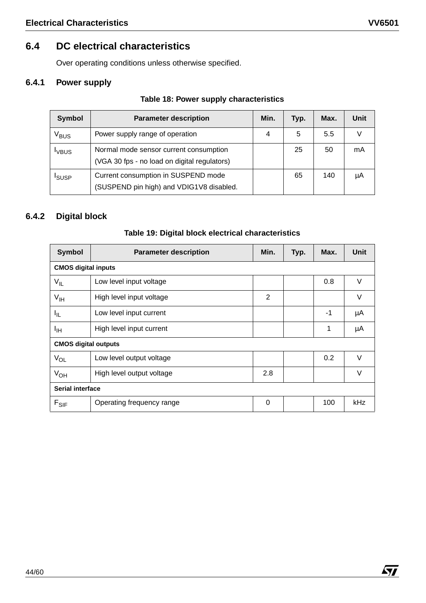# **6.4 DC electrical characteristics**

Over operating conditions unless otherwise specified.

# **6.4.1 Power supply**

# **Table 18: Power supply characteristics**

| <b>Symbol</b>    | <b>Parameter description</b>                                                           | Min. | Typ. | Max. | Unit |
|------------------|----------------------------------------------------------------------------------------|------|------|------|------|
| V <sub>BUS</sub> | Power supply range of operation                                                        | 4    | 5    | 5.5  |      |
| <b>VBUS</b>      | Normal mode sensor current consumption<br>(VGA 30 fps - no load on digital regulators) |      | 25   | 50   | mA   |
| <b>I</b> SUSP    | Current consumption in SUSPEND mode<br>(SUSPEND pin high) and VDIG1V8 disabled.        |      | 65   | 140  | μA   |

# **6.4.2 Digital block**

| <b>Symbol</b>              | <b>Parameter description</b> | Min. | Typ. | Max. | Unit |  |  |
|----------------------------|------------------------------|------|------|------|------|--|--|
| <b>CMOS digital inputs</b> |                              |      |      |      |      |  |  |
| $V_{IL}$                   | Low level input voltage      |      |      | 0.8  | V    |  |  |
| $V_{\text{IH}}$            | High level input voltage     | 2    |      |      | V    |  |  |
| ЧL.                        | Low level input current      |      |      | -1   | μA   |  |  |
| ЧH                         | High level input current     |      |      | 1    | μA   |  |  |
|                            | <b>CMOS digital outputs</b>  |      |      |      |      |  |  |
| $V_{OL}$                   | Low level output voltage     |      |      | 0.2  | V    |  |  |
| $V_{OH}$                   | High level output voltage    | 2.8  |      |      | V    |  |  |
|                            | <b>Serial interface</b>      |      |      |      |      |  |  |
| $F_{SIF}$                  | Operating frequency range    | 0    |      | 100  | kHz  |  |  |

# **Table 19: Digital block electrical characteristics**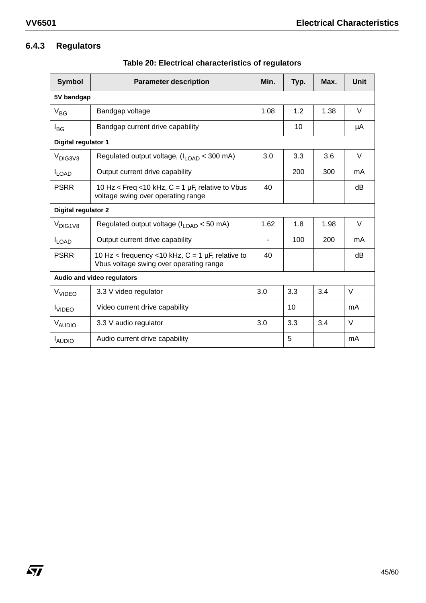# **6.4.3 Regulators**

| <b>Symbol</b>       | <b>Parameter description</b>                                                                   | Min. | Typ. | Max. | <b>Unit</b> |
|---------------------|------------------------------------------------------------------------------------------------|------|------|------|-------------|
| 5V bandgap          |                                                                                                |      |      |      |             |
| $V_{BG}$            | Bandgap voltage                                                                                | 1.08 | 1.2  | 1.38 | V           |
| $I_{BG}$            | Bandgap current drive capability                                                               |      | 10   |      | μA          |
| Digital regulator 1 |                                                                                                |      |      |      |             |
| V <sub>DIG3V3</sub> | Regulated output voltage, $(l_{\text{LOAD}} < 300 \text{ mA})$                                 | 3.0  | 3.3  | 3.6  | $\vee$      |
| <b>ILOAD</b>        | Output current drive capability                                                                |      | 200  | 300  | mA          |
| <b>PSRR</b>         | 10 Hz < Freq < 10 kHz, $C = 1$ µF, relative to Vbus<br>voltage swing over operating range      | 40   |      |      | dB          |
| Digital regulator 2 |                                                                                                |      |      |      |             |
| V <sub>DIG1V8</sub> | Regulated output voltage (I <sub>LOAD</sub> < 50 mA)                                           | 1.62 | 1.8  | 1.98 | V           |
| $I_{LOAD}$          | Output current drive capability                                                                |      | 100  | 200  | mA.         |
| <b>PSRR</b>         | 10 Hz < frequency < 10 kHz, $C = 1$ µF, relative to<br>Vbus voltage swing over operating range | 40   |      |      | dB          |
|                     | Audio and video regulators                                                                     |      |      |      |             |
| V <sub>VIDEO</sub>  | 3.3 V video regulator                                                                          | 3.0  | 3.3  | 3.4  | V           |
| <b>I</b> VIDEO      | Video current drive capability                                                                 |      | 10   |      | mA          |
| V <sub>AUDIO</sub>  | 3.3 V audio regulator                                                                          | 3.0  | 3.3  | 3.4  | $\vee$      |
| <b>LAUDIO</b>       | Audio current drive capability                                                                 |      | 5    |      | mA          |

**Table 20: Electrical characteristics of regulators**

 $\sqrt{27}$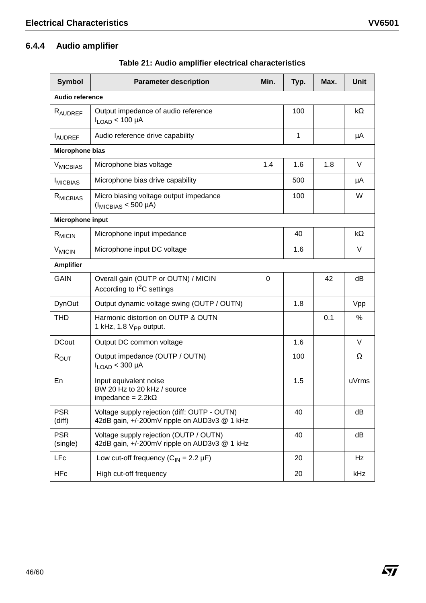| <b>Symbol</b>              | <b>Parameter description</b>                                                                 | Min. | Typ. | Max. | <b>Unit</b> |
|----------------------------|----------------------------------------------------------------------------------------------|------|------|------|-------------|
| <b>Audio reference</b>     |                                                                                              |      |      |      |             |
| RAUDREF                    | Output impedance of audio reference<br>$I_{LOAD}$ < 100 µA                                   |      | 100  |      | kΩ          |
| <b>LAUDREF</b>             | Audio reference drive capability                                                             |      | 1    |      | μA          |
| Microphone bias            |                                                                                              |      |      |      |             |
| <b>V<sub>MICBIAS</sub></b> | Microphone bias voltage                                                                      | 1.4  | 1.6  | 1.8  | V           |
| <b>IMICBIAS</b>            | Microphone bias drive capability                                                             |      | 500  |      | μA          |
| R <sub>MICBIAS</sub>       | Micro biasing voltage output impedance<br>$(I_{MICBIAS} < 500 \mu A)$                        |      | 100  |      | W           |
| Microphone input           |                                                                                              |      |      |      |             |
| $R_{\text{MICIN}}$         | Microphone input impedance                                                                   |      | 40   |      | kΩ          |
| $V_{MICIN}$                | Microphone input DC voltage                                                                  |      | 1.6  |      | V           |
| <b>Amplifier</b>           |                                                                                              |      |      |      |             |
| <b>GAIN</b>                | Overall gain (OUTP or OUTN) / MICIN<br>According to I <sup>2</sup> C settings                | 0    |      | 42   | dB          |
| <b>DynOut</b>              | Output dynamic voltage swing (OUTP / OUTN)                                                   |      | 1.8  |      | Vpp         |
| THD                        | Harmonic distortion on OUTP & OUTN<br>1 kHz, 1.8 $V_{PP}$ output.                            |      |      | 0.1  | ℅           |
| <b>DCout</b>               | Output DC common voltage                                                                     |      | 1.6  |      | V           |
| $R_{\text{OUT}}$           | Output impedance (OUTP / OUTN)<br>$I_{LOAD}$ < 300 µA                                        |      | 100  |      | $\Omega$    |
| En                         | Input equivalent noise<br>BW 20 Hz to 20 kHz / source<br>impedance = $2.2k\Omega$            |      | 1.5  |      | uVrms       |
| <b>PSR</b><br>(diff)       | Voltage supply rejection (diff: OUTP - OUTN)<br>42dB gain, +/-200mV ripple on AUD3v3 @ 1 kHz |      | 40   |      | dB          |
| <b>PSR</b><br>(single)     | Voltage supply rejection (OUTP / OUTN)<br>42dB gain, +/-200mV ripple on AUD3v3 @ 1 kHz       |      | 40   |      | dB          |
| LFc                        | Low cut-off frequency $(C_{IN} = 2.2 \mu F)$                                                 |      | 20   |      | Hz          |
| <b>HFc</b>                 | High cut-off frequency                                                                       |      | 20   |      | kHz         |

**Table 21: Audio amplifier electrical characteristics**

 $\sqrt{27}$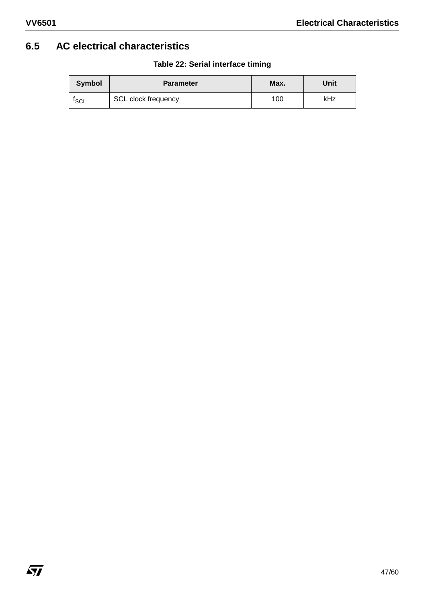# **6.5 AC electrical characteristics**

| Symbol           | <b>Parameter</b>    | Max. | Unit |
|------------------|---------------------|------|------|
| <sup>I</sup> SCL | SCL clock frequency | 100  | kHz  |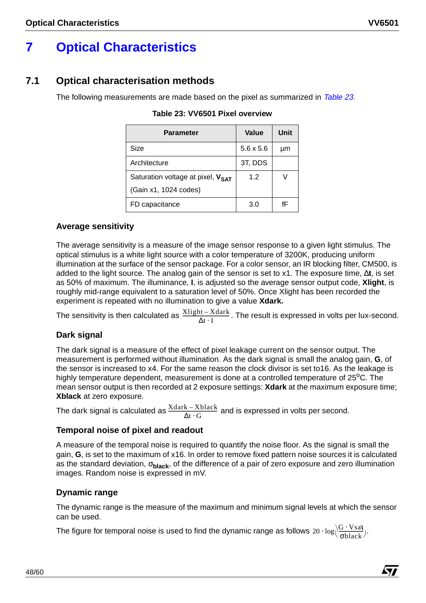# **7 Optical Characteristics**

# **7.1 Optical characterisation methods**

The following measurements are made based on the pixel as summarized in Table 23.

| <b>Parameter</b>                  | Value            | Unit |
|-----------------------------------|------------------|------|
| Size                              | $5.6 \times 5.6$ | μm   |
| Architecture                      | 3T, DDS          |      |
| Saturation voltage at pixel, VSAT | 1.2              |      |
| (Gain x1, 1024 codes)             |                  |      |
| FD capacitance                    | 3.0              | fF   |

**Table 23: VV6501 Pixel overview**

# **Average sensitivity**

The average sensitivity is a measure of the image sensor response to a given light stimulus. The optical stimulus is a white light source with a color temperature of 3200K, producing uniform illumination at the surface of the sensor package. For a color sensor, an IR blocking filter, CM500, is added to the light source. The analog gain of the sensor is set to x1. The exposure time, ∆**t**, is set as 50% of maximum. The illuminance, **I**, is adjusted so the average sensor output code, **Xlight**, is roughly mid-range equivalent to a saturation level of 50%. Once Xlight has been recorded the experiment is repeated with no illumination to give a value **Xdark.** 

The sensitivity is then calculated as  $\frac{\text{Xlight}-\text{Xdark}}{\Delta t \cdot I}$ . The result is expressed in volts per lux-second.

# **Dark signal**

The dark signal is a measure of the effect of pixel leakage current on the sensor output. The measurement is performed without illumination. As the dark signal is small the analog gain, **G**, of the sensor is increased to x4. For the same reason the clock divisor is set to16. As the leakage is highly temperature dependent, measurement is done at a controlled temperature of  $25^{\circ}$ C. The mean sensor output is then recorded at 2 exposure settings: **Xdark** at the maximum exposure time; **Xblack** at zero exposure.

The dark signal is calculated as  $\frac{\text{Xdark}-\text{Xblack}}{\Delta t\cdot\text{G}}$  and is expressed in volts per second.

# **Temporal noise of pixel and readout**

A measure of the temporal noise is required to quantify the noise floor. As the signal is small the gain, **G**, is set to the maximum of x16. In order to remove fixed pattern noise sources it is calculated as the standard deviation, σ**black**, of the difference of a pair of zero exposure and zero illumination images. Random noise is expressed in mV.

# **Dynamic range**

The dynamic range is the measure of the maximum and minimum signal levels at which the sensor can be used.

The figure for temporal noise is used to find the dynamic range as follows  $20 \cdot \log(\frac{G\cdot Vsa}{\sigma black})$ .

**AVI**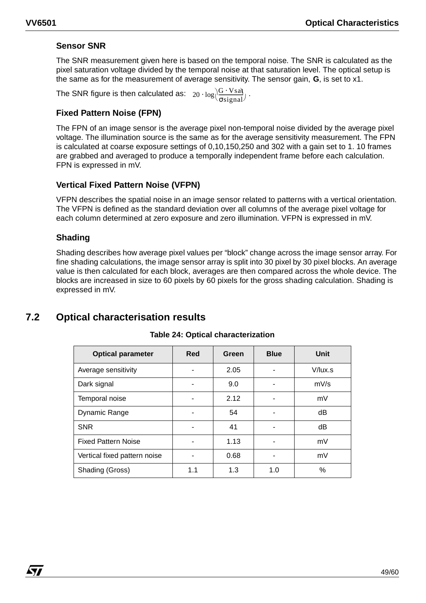# **Sensor SNR**

The SNR measurement given here is based on the temporal noise. The SNR is calculated as the pixel saturation voltage divided by the temporal noise at that saturation level. The optical setup is the same as for the measurement of average sensitivity. The sensor gain, **G**, is set to x1.

The SNR figure is then calculated as:  $20 \cdot \log \left| \frac{G \cdot Vsa}{\sigma signal} \right|$  .

# **Fixed Pattern Noise (FPN)**

The FPN of an image sensor is the average pixel non-temporal noise divided by the average pixel voltage. The illumination source is the same as for the average sensitivity measurement. The FPN is calculated at coarse exposure settings of 0,10,150,250 and 302 with a gain set to 1. 10 frames are grabbed and averaged to produce a temporally independent frame before each calculation. FPN is expressed in mV.

# **Vertical Fixed Pattern Noise (VFPN)**

VFPN describes the spatial noise in an image sensor related to patterns with a vertical orientation. The VFPN is defined as the standard deviation over all columns of the average pixel voltage for each column determined at zero exposure and zero illumination. VFPN is expressed in mV.

# **Shading**

*ky* 

Shading describes how average pixel values per "block" change across the image sensor array. For fine shading calculations, the image sensor array is split into 30 pixel by 30 pixel blocks. An average value is then calculated for each block, averages are then compared across the whole device. The blocks are increased in size to 60 pixels by 60 pixels for the gross shading calculation. Shading is expressed in mV.

# **7.2 Optical characterisation results**

| <b>Optical parameter</b>     | Red | Green | <b>Blue</b> | <b>Unit</b> |
|------------------------------|-----|-------|-------------|-------------|
| Average sensitivity          |     | 2.05  |             | V/lux.s     |
| Dark signal                  |     | 9.0   |             | mV/s        |
| Temporal noise               |     | 2.12  |             | mV          |
| Dynamic Range                |     | 54    |             | dB          |
| <b>SNR</b>                   |     | 41    |             | dB          |
| <b>Fixed Pattern Noise</b>   |     | 1.13  |             | mV          |
| Vertical fixed pattern noise |     | 0.68  |             | mV          |
| Shading (Gross)              | 1.1 | 1.3   | 1.0         | $\%$        |

#### **Table 24: Optical characterization**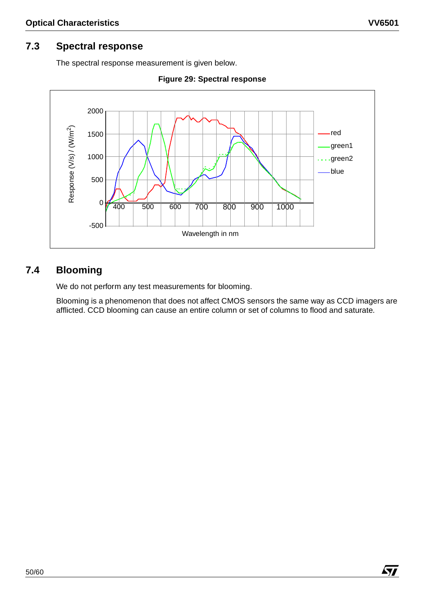# **7.3 Spectral response**

The spectral response measurement is given below.





# **7.4 Blooming**

We do not perform any test measurements for blooming.

Blooming is a phenomenon that does not affect CMOS sensors the same way as CCD imagers are afflicted. CCD blooming can cause an entire column or set of columns to flood and saturate.

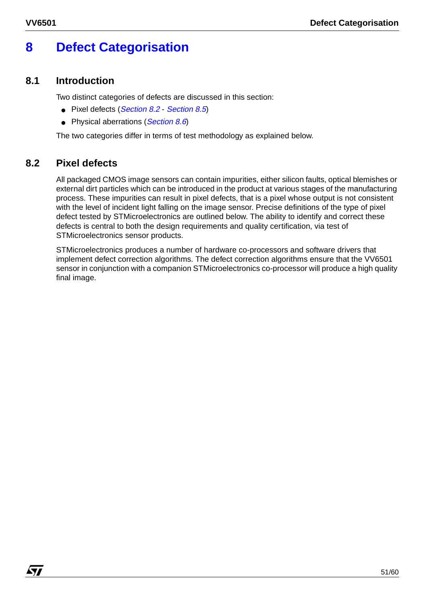*ky* 

# **8 Defect Categorisation**

# **8.1 Introduction**

Two distinct categories of defects are discussed in this section:

- Pixel defects (Section 8.2 Section 8.5)
- Physical aberrations (Section 8.6)

The two categories differ in terms of test methodology as explained below.

# **8.2 Pixel defects**

All packaged CMOS image sensors can contain impurities, either silicon faults, optical blemishes or external dirt particles which can be introduced in the product at various stages of the manufacturing process. These impurities can result in pixel defects, that is a pixel whose output is not consistent with the level of incident light falling on the image sensor. Precise definitions of the type of pixel defect tested by STMicroelectronics are outlined below. The ability to identify and correct these defects is central to both the design requirements and quality certification, via test of STMicroelectronics sensor products.

STMicroelectronics produces a number of hardware co-processors and software drivers that implement defect correction algorithms. The defect correction algorithms ensure that the VV6501 sensor in conjunction with a companion STMicroelectronics co-processor will produce a high quality final image.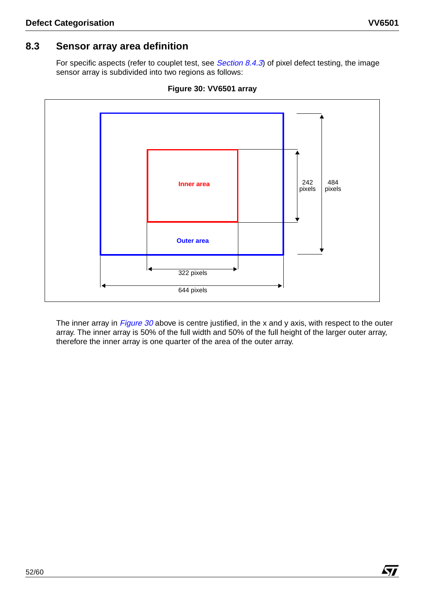# **8.3 Sensor array area definition**

For specific aspects (refer to couplet test, see Section 8.4.3) of pixel defect testing, the image sensor array is subdivided into two regions as follows:



**Figure 30: VV6501 array**

The inner array in Figure  $30$  above is centre justified, in the x and y axis, with respect to the outer array. The inner array is 50% of the full width and 50% of the full height of the larger outer array, therefore the inner array is one quarter of the area of the outer array.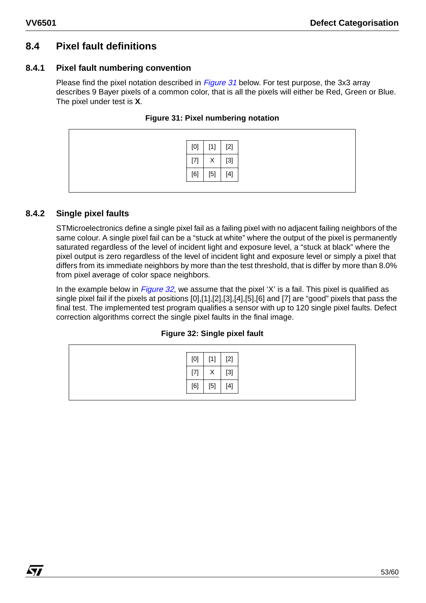# **8.4 Pixel fault definitions**

# **8.4.1 Pixel fault numbering convention**

Please find the pixel notation described in *Figure 31* below. For test purpose, the 3x3 array describes 9 Bayer pixels of a common color, that is all the pixels will either be Red, Green or Blue. The pixel under test is **X**.

| [0]   | $[1]$             | $[2]$ |
|-------|-------------------|-------|
| $[7]$ | $\checkmark$<br>⋏ | $[3]$ |
| [6]   | $[5]$             |       |

**Figure 31: Pixel numbering notation**

# **8.4.2 Single pixel faults**

*kti* 

STMicroelectronics define a single pixel fail as a failing pixel with no adjacent failing neighbors of the same colour. A single pixel fail can be a "stuck at white" where the output of the pixel is permanently saturated regardless of the level of incident light and exposure level, a "stuck at black" where the pixel output is zero regardless of the level of incident light and exposure level or simply a pixel that differs from its immediate neighbors by more than the test threshold, that is differ by more than 8.0% from pixel average of color space neighbors.

In the example below in  $Figure 32$ , we assume that the pixel 'X' is a fail. This pixel is qualified as single pixel fail if the pixels at positions [0],[1],[2],[3],[4],[5],[6] and [7] are "good" pixels that pass the final test. The implemented test program qualifies a sensor with up to 120 single pixel faults. Defect correction algorithms correct the single pixel faults in the final image.

#### **Figure 32: Single pixel fault**

| [0]   | $[1]$ | $[2]$                                                                                                                                                                                                                                                                                                                                                                                                                                                                                                             |
|-------|-------|-------------------------------------------------------------------------------------------------------------------------------------------------------------------------------------------------------------------------------------------------------------------------------------------------------------------------------------------------------------------------------------------------------------------------------------------------------------------------------------------------------------------|
| $[7]$ | X     | $[3]$                                                                                                                                                                                                                                                                                                                                                                                                                                                                                                             |
| [6]   | $[5]$ | $[4] % \begin{center} \includegraphics[width=\linewidth]{imagesSupplemental/Imetad-Architecture.png} \end{center} % \caption { % \textit{DefNet} and { \textit{DefNet}~Supplemental-1}~(4) \textit{DefNet} and { \textit{DefNet}~Supplemental-1}~(4) \textit{DefNet}~Supplemental-1}~(4) \textit{DefNet}~Supplemental-1}~(4) \textit{DefNet}~Supplemental-1}~(4) \textit{DefNet}~Supplemental-1}~(4) \textit{DefNet}~Supplemental-1}~(4) \textit{DefNet}~Supplemental-1}~(4) \textit{DefNet}~Supplemental-1}~(4)$ |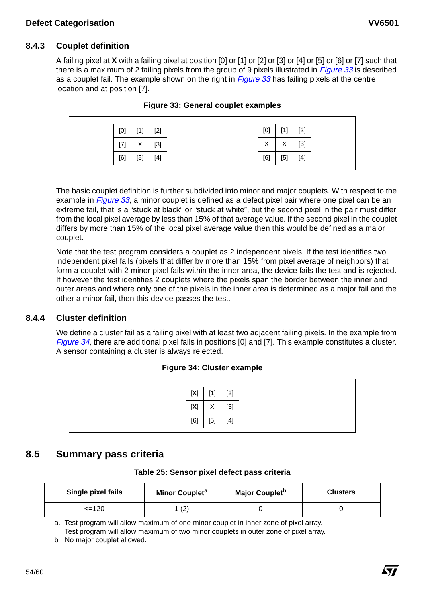# **8.4.3 Couplet definition**

A failing pixel at **X** with a failing pixel at position [0] or [1] or [2] or [3] or [4] or [5] or [6] or [7] such that there is a maximum of 2 failing pixels from the group of 9 pixels illustrated in *Figure 33* is described as a couplet fail. The example shown on the right in *Figure 33* has failing pixels at the centre location and at position [7].

| [0]      | <b>F41</b>        | $[2]$ | [0] | <b>F41</b>        | $[2]$ |
|----------|-------------------|-------|-----|-------------------|-------|
| $^{[7]}$ | $\checkmark$<br>⌒ | $[3]$ | Χ   | $\checkmark$<br>⌒ | $[3]$ |
| [6]      | [5]               | $[4]$ | [6] | $[5]$             | $[4]$ |

**Figure 33: General couplet examples**

The basic couplet definition is further subdivided into minor and major couplets. With respect to the example in Figure 33, a minor couplet is defined as a defect pixel pair where one pixel can be an extreme fail, that is a "stuck at black" or "stuck at white", but the second pixel in the pair must differ from the local pixel average by less than 15% of that average value. If the second pixel in the couplet differs by more than 15% of the local pixel average value then this would be defined as a major couplet.

Note that the test program considers a couplet as 2 independent pixels. If the test identifies two independent pixel fails (pixels that differ by more than 15% from pixel average of neighbors) that form a couplet with 2 minor pixel fails within the inner area, the device fails the test and is rejected. If however the test identifies 2 couplets where the pixels span the border between the inner and outer areas and where only one of the pixels in the inner area is determined as a major fail and the other a minor fail, then this device passes the test.

# **8.4.4 Cluster definition**

We define a cluster fail as a failing pixel with at least two adjacent failing pixels. In the example from Figure 34, there are additional pixel fails in positions [0] and [7]. This example constitutes a cluster. A sensor containing a cluster is always rejected.

#### **Figure 34: Cluster example**

| $[2]$<br>[X]<br>$[1]$                                                                                                                                                                                                                                                                                                                                                                                                                                                                                                                                |
|------------------------------------------------------------------------------------------------------------------------------------------------------------------------------------------------------------------------------------------------------------------------------------------------------------------------------------------------------------------------------------------------------------------------------------------------------------------------------------------------------------------------------------------------------|
| $[3]$<br>[X]<br>Χ                                                                                                                                                                                                                                                                                                                                                                                                                                                                                                                                    |
| $[4] % \begin{center} \includegraphics[width=\linewidth]{imagesSupplemental/Imetad-Architecture.png} \end{center} % \caption { % \textit{DefNet} and { \textit{DefNet}~Supplemental-1}~(b) and { \textit{DefNet}~Supplemental-1}~(c) and { \textit{DefNet}~Supplemental-1}~(d) and { \textit{DefNet}~Supplemental-1}~(e) and { \textit{DefNet}~Supplemental-1}~(f) and { \textit{DefNet}~Supplemental-1}~(g) and { \textit{DefNet}~Supplemental-1}~(g) and { \textit{DefNet}~Supplemental-1}~(h) and { \textit{DefNet}~Supplemental$<br>$[5]$<br>[6] |

# **8.5 Summary pass criteria**

**Table 25: Sensor pixel defect pass criteria**

| Single pixel fails | Minor Couplet <sup>a</sup> | Major Couplet <sup>b</sup> | <b>Clusters</b> |
|--------------------|----------------------------|----------------------------|-----------------|
| <=120              | (2                         |                            |                 |

a. Test program will allow maximum of one minor couplet in inner zone of pixel array. Test program will allow maximum of two minor couplets in outer zone of pixel array.

b. No major couplet allowed.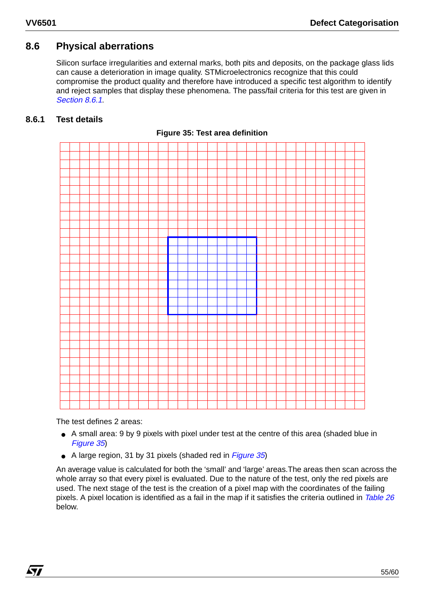# **8.6 Physical aberrations**

Silicon surface irregularities and external marks, both pits and deposits, on the package glass lids can cause a deterioration in image quality. STMicroelectronics recognize that this could compromise the product quality and therefore have introduced a specific test algorithm to identify and reject samples that display these phenomena. The pass/fail criteria for this test are given in Section 8.6.1.

#### **8.6.1 Test details**



**Figure 35: Test area definition**

The test defines 2 areas:

*ky* 

- A small area: 9 by 9 pixels with pixel under test at the centre of this area (shaded blue in Figure 35)
- A large region, 31 by 31 pixels (shaded red in *Figure 35*)

An average value is calculated for both the 'small' and 'large' areas.The areas then scan across the whole array so that every pixel is evaluated. Due to the nature of the test, only the red pixels are used. The next stage of the test is the creation of a pixel map with the coordinates of the failing pixels. A pixel location is identified as a fail in the map if it satisfies the criteria outlined in Table 26 below.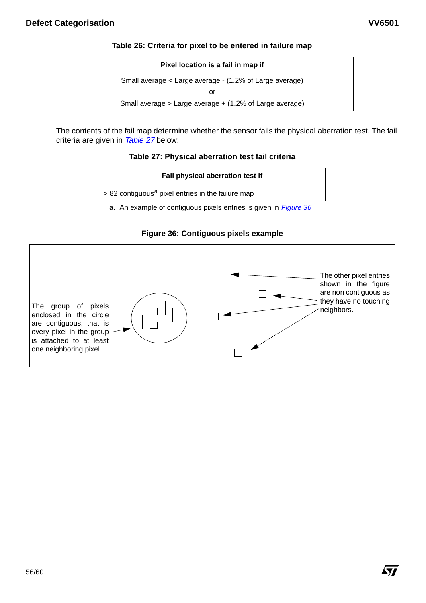Á7/

#### **Table 26: Criteria for pixel to be entered in failure map**

| Pixel location is a fail in map if                      |
|---------------------------------------------------------|
| Small average < Large average - (1.2% of Large average) |
| or                                                      |
| Small average > Large average + (1.2% of Large average) |
|                                                         |

The contents of the fail map determine whether the sensor fails the physical aberration test. The fail criteria are given in Table 27 below:

#### **Table 27: Physical aberration test fail criteria**

| Fail physical aberration test if                                      |
|-----------------------------------------------------------------------|
| $\vert$ > 82 contiguous <sup>a</sup> pixel entries in the failure map |
| a. An example of contiguous pixels entries is given in Figure 36      |

# **Figure 36: Contiguous pixels example**

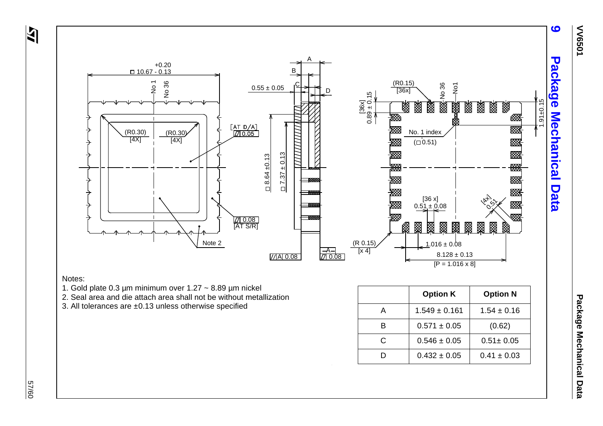

- 
- 
- 

|   | <b>Option K</b>   | <b>Option N</b> |
|---|-------------------|-----------------|
| А | $1.549 \pm 0.161$ | $1.54 \pm 0.16$ |
| R | $0.571 \pm 0.05$  | (0.62)          |
| C | $0.546 \pm 0.05$  | $0.51 \pm 0.05$ |
|   | $0.432 \pm 0.05$  | $0.41 \pm 0.03$ |

**9 Package Mechanical Data**

 57/60 09/29

 $\overline{\mathbf{z}}$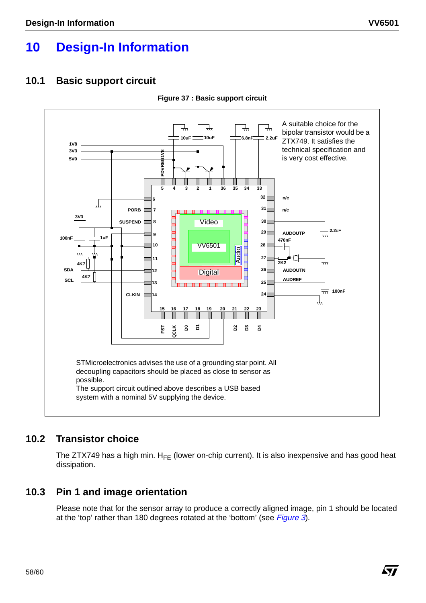# **10 Design-In Information**

# **10.1 Basic support circuit**



**Figure 37 : Basic support circuit**

# **10.2 Transistor choice**

The ZTX749 has a high min.  $H_{FE}$  (lower on-chip current). It is also inexpensive and has good heat dissipation.

# **10.3 Pin 1 and image orientation**

Please note that for the sensor array to produce a correctly aligned image, pin 1 should be located at the 'top' rather than 180 degrees rotated at the 'bottom' (see Figure 3).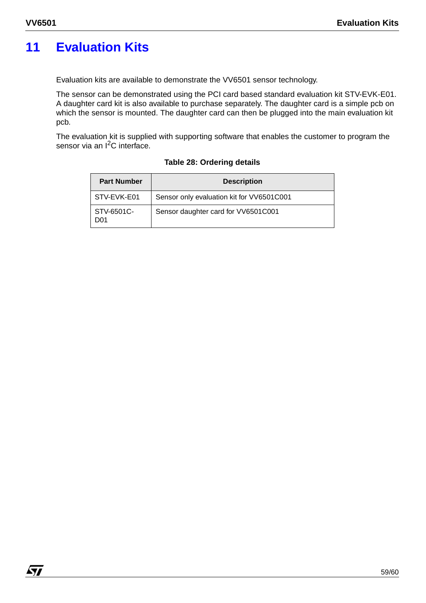# **11 Evaluation Kits**

Evaluation kits are available to demonstrate the VV6501 sensor technology.

The sensor can be demonstrated using the PCI card based standard evaluation kit STV-EVK-E01. A daughter card kit is also available to purchase separately. The daughter card is a simple pcb on which the sensor is mounted. The daughter card can then be plugged into the main evaluation kit pcb.

The evaluation kit is supplied with supporting software that enables the customer to program the sensor via an I<sup>2</sup>C interface.

| <b>Part Number</b> | <b>Description</b>                        |  |
|--------------------|-------------------------------------------|--|
| STV-EVK-E01        | Sensor only evaluation kit for VV6501C001 |  |
| STV-6501C-<br>D01  | Sensor daughter card for VV6501C001       |  |

#### **Table 28: Ordering details**